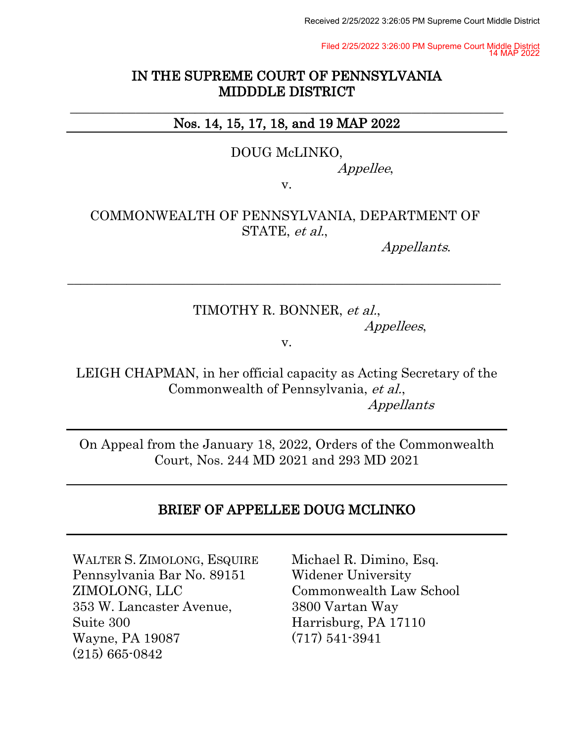Received 2/25/2022 3:26:05 PM Supreme Court Middle District

Filed 2/25/2022 3:26:00 PM Supreme Court Middle District 14 MAP 2022

### IN THE SUPREME COURT OF PENNSYLVANIA MIDDDLE DISTRICT

#### \_\_\_\_\_\_\_\_\_\_\_\_\_\_\_\_\_\_\_\_\_\_\_\_\_\_\_\_\_\_\_\_\_\_\_\_\_\_\_\_\_\_\_\_\_\_\_\_\_\_\_\_\_\_\_\_\_\_\_\_\_\_\_\_\_\_ Nos. 14, 15, 17, 18, and 19 MAP 2022

#### DOUG McLINKO,

Appellee,

v.

### COMMONWEALTH OF PENNSYLVANIA, DEPARTMENT OF STATE, et al.,

\_\_\_\_\_\_\_\_\_\_\_\_\_\_\_\_\_\_\_\_\_\_\_\_\_\_\_\_\_\_\_\_\_\_\_\_\_\_\_\_\_\_\_\_\_\_\_\_\_\_\_\_\_\_\_\_\_\_\_\_\_\_\_\_\_\_

Appellants.

# TIMOTHY R. BONNER, et al., Appellees,

v.

LEIGH CHAPMAN, in her official capacity as Acting Secretary of the Commonwealth of Pennsylvania, et al., Appellants

On Appeal from the January 18, 2022, Orders of the Commonwealth Court, Nos. 244 MD 2021 and 293 MD 2021

## BRIEF OF APPELLEE DOUG MCLINKO

WALTER S. ZIMOLONG, ESQUIRE Pennsylvania Bar No. 89151 ZIMOLONG, LLC 353 W. Lancaster Avenue, Suite 300 Wayne, PA 19087 (215) 665-0842

Michael R. Dimino, Esq. Widener University Commonwealth Law School 3800 Vartan Way Harrisburg, PA 17110 (717) 541-3941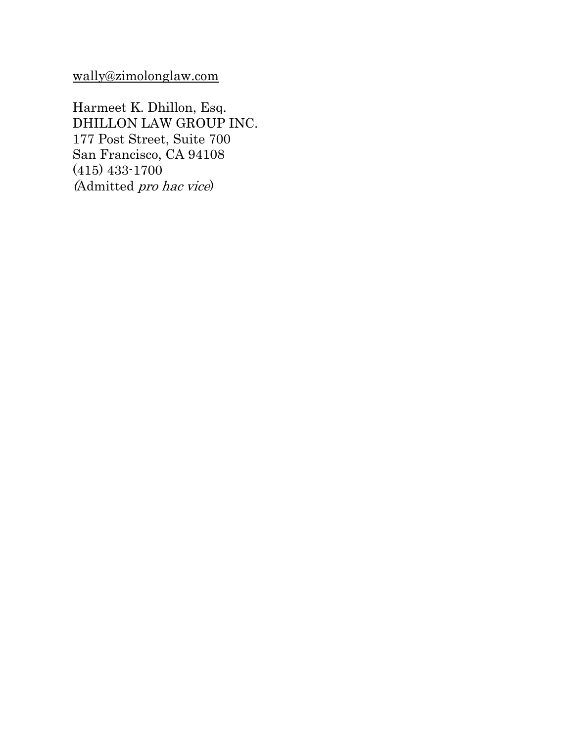[wally@zimolonglaw.com](mailto:wally@zimolonglaw.com)

Harmeet K. Dhillon, Esq. DHILLON LAW GROUP INC. 177 Post Street, Suite 700 San Francisco, CA 94108 (415) 433-1700 (Admitted pro hac vice)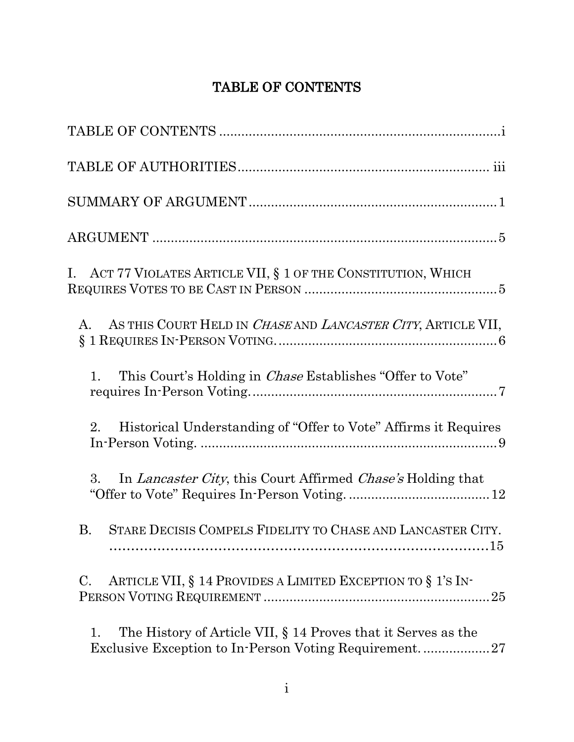# TABLE OF CONTENTS

<span id="page-2-0"></span>

| I. ACT 77 VIOLATES ARTICLE VII, § 1 OF THE CONSTITUTION, WHICH                                                               |
|------------------------------------------------------------------------------------------------------------------------------|
| AS THIS COURT HELD IN CHASE AND LANCASTER CITY, ARTICLE VII,<br>$A_{\cdot}$                                                  |
| This Court's Holding in <i>Chase</i> Establishes "Offer to Vote"<br>$\mathbf{1}$ .                                           |
| Historical Understanding of "Offer to Vote" Affirms it Requires<br>2.                                                        |
| In <i>Lancaster City</i> , this Court Affirmed <i>Chase's</i> Holding that<br>3.                                             |
| STARE DECISIS COMPELS FIDELITY TO CHASE AND LANCASTER CITY.<br><b>B.</b>                                                     |
| ARTICLE VII, § 14 PROVIDES A LIMITED EXCEPTION TO § 1'S IN-<br>$\mathcal{C}$ .<br>25                                         |
| The History of Article VII, § 14 Proves that it Serves as the<br>1.<br>Exclusive Exception to In-Person Voting Requirement27 |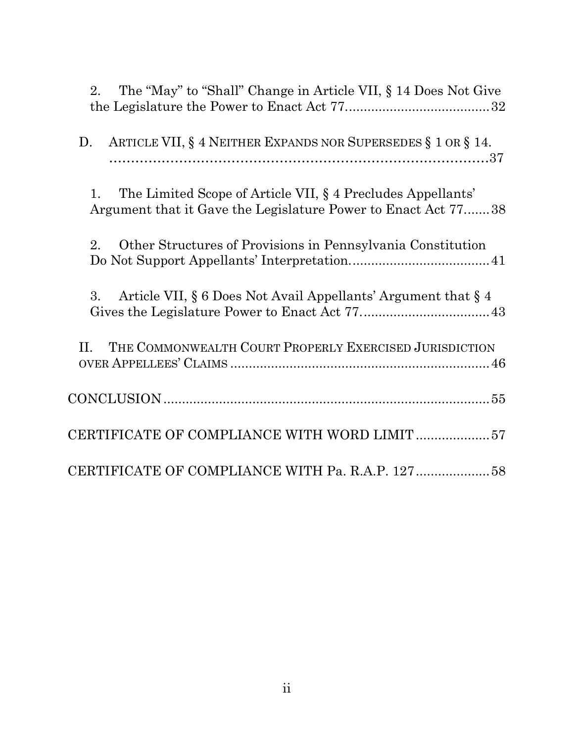| The "May" to "Shall" Change in Article VII, § 14 Does Not Give<br>2.                                                               |
|------------------------------------------------------------------------------------------------------------------------------------|
| ARTICLE VII, § 4 NEITHER EXPANDS NOR SUPERSEDES § 1 OR § 14.<br>D.                                                                 |
| The Limited Scope of Article VII, § 4 Precludes Appellants'<br>1.<br>Argument that it Gave the Legislature Power to Enact Act 7738 |
| Other Structures of Provisions in Pennsylvania Constitution<br>2.                                                                  |
| Article VII, § 6 Does Not Avail Appellants' Argument that § 4<br>3.                                                                |
| THE COMMONWEALTH COURT PROPERLY EXERCISED JURISDICTION<br>H.                                                                       |
|                                                                                                                                    |
| CERTIFICATE OF COMPLIANCE WITH WORD LIMIT57                                                                                        |
| CERTIFICATE OF COMPLIANCE WITH Pa. R.A.P. 12758                                                                                    |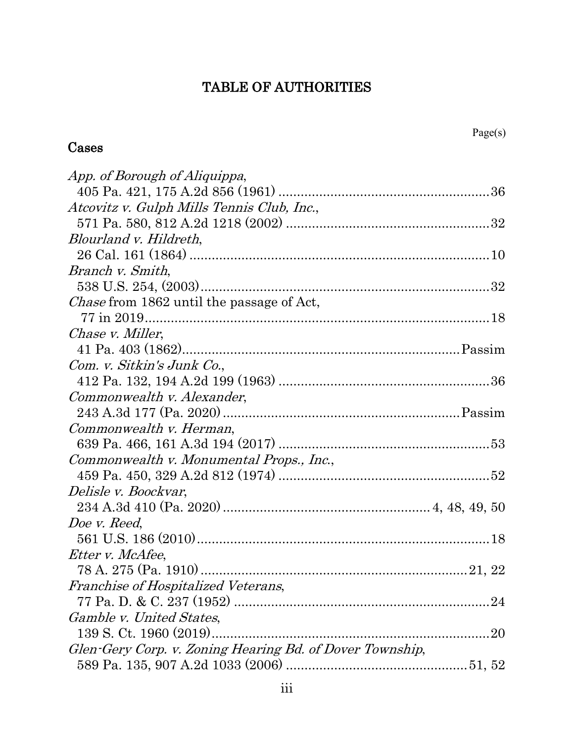# TABLE OF AUTHORITIES

# <span id="page-4-0"></span>Cases

| App. of Borough of Aliquippa,                            |  |
|----------------------------------------------------------|--|
|                                                          |  |
| Atcovitz v. Gulph Mills Tennis Club, Inc.,               |  |
|                                                          |  |
| Blourland v. Hildreth,                                   |  |
|                                                          |  |
| Branch v. Smith,                                         |  |
|                                                          |  |
| <i>Chase</i> from 1862 until the passage of Act,         |  |
|                                                          |  |
| Chase v. Miller,                                         |  |
|                                                          |  |
| Com. v. Sitkin's Junk Co.,                               |  |
|                                                          |  |
| Commonwealth v. Alexander,                               |  |
|                                                          |  |
| Commonwealth v. Herman,                                  |  |
|                                                          |  |
| Commonwealth v. Monumental Props., Inc.,                 |  |
|                                                          |  |
| Delisle v. Boockvar,                                     |  |
|                                                          |  |
| Doe v. Reed,                                             |  |
|                                                          |  |
| Etter v. McAfee,                                         |  |
|                                                          |  |
| Franchise of Hospitalized Veterans,                      |  |
|                                                          |  |
| Gamble v. United States,                                 |  |
| 139 S. Ct. 1960 (2019)                                   |  |
| Glen-Gery Corp. v. Zoning Hearing Bd. of Dover Township, |  |
|                                                          |  |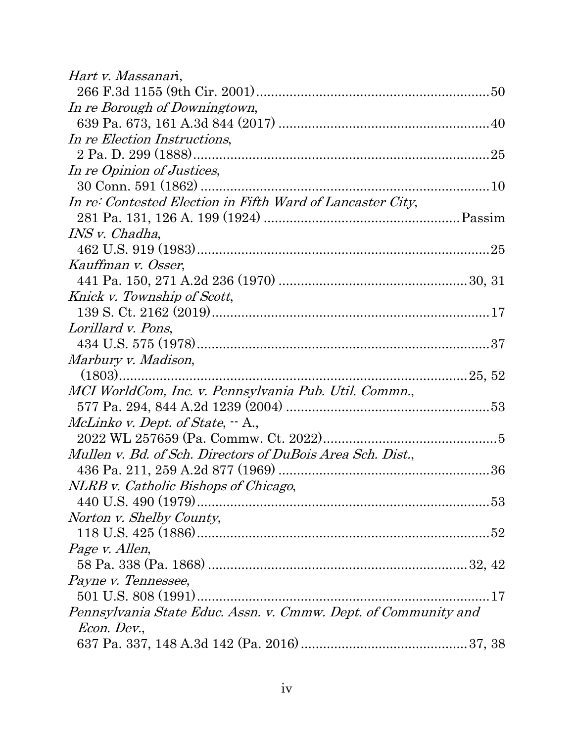| Hart v. Massanari,                                             |  |
|----------------------------------------------------------------|--|
|                                                                |  |
| In re Borough of Downingtown,                                  |  |
|                                                                |  |
| In re Election Instructions,                                   |  |
|                                                                |  |
| In re Opinion of Justices,                                     |  |
|                                                                |  |
| In re: Contested Election in Fifth Ward of Lancaster City,     |  |
|                                                                |  |
| INS v. Chadha,                                                 |  |
|                                                                |  |
| Kauffman v. Osser,                                             |  |
|                                                                |  |
| Knick v. Township of Scott,                                    |  |
|                                                                |  |
| Lorillard v. Pons,                                             |  |
|                                                                |  |
| Marbury v. Madison,                                            |  |
|                                                                |  |
| MCI WorldCom, Inc. v. Pennsylvania Pub. Util. Commn.,          |  |
|                                                                |  |
| McLinko v. Dept. of State, $-A.,$                              |  |
|                                                                |  |
| Mullen v. Bd. of Sch. Directors of DuBois Area Sch. Dist.,     |  |
|                                                                |  |
| NLRB v. Catholic Bishops of Chicago,                           |  |
|                                                                |  |
| Norton v. Shelby County,                                       |  |
|                                                                |  |
| Page v. Allen,                                                 |  |
|                                                                |  |
| Payne v. Tennessee,                                            |  |
|                                                                |  |
| Pennsylvania State Educ. Assn. v. Cmmw. Dept. of Community and |  |
| <i>Econ. Dev.,</i>                                             |  |
|                                                                |  |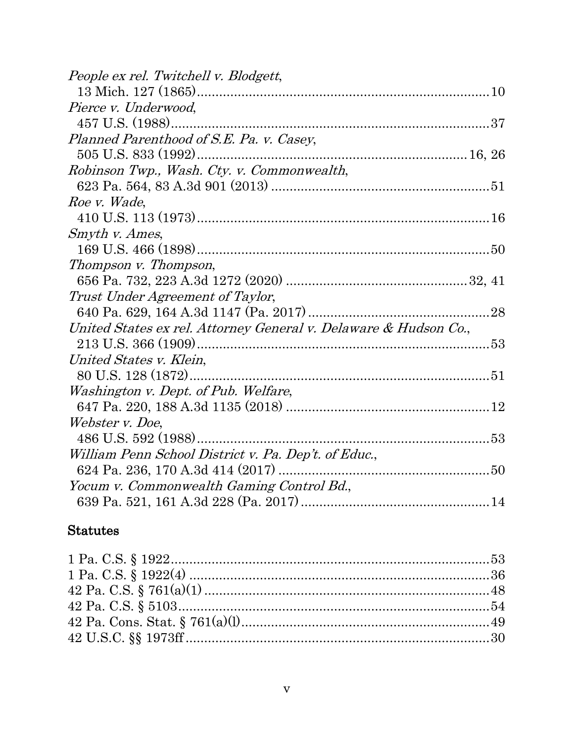| People ex rel. Twitchell v. Blodgett,                            |  |
|------------------------------------------------------------------|--|
|                                                                  |  |
| Pierce v. Underwood,                                             |  |
|                                                                  |  |
| Planned Parenthood of S.E. Pa. v. Casey,                         |  |
|                                                                  |  |
| Robinson Twp., Wash. Cty. v. Commonwealth,                       |  |
|                                                                  |  |
| Roe v. Wade,                                                     |  |
|                                                                  |  |
| Smyth v. Ames,                                                   |  |
|                                                                  |  |
| Thompson v. Thompson,                                            |  |
|                                                                  |  |
| Trust Under Agreement of Taylor,                                 |  |
|                                                                  |  |
| United States ex rel. Attorney General v. Delaware & Hudson Co., |  |
|                                                                  |  |
| United States v. Klein,                                          |  |
|                                                                  |  |
| Washington v. Dept. of Pub. Welfare,                             |  |
|                                                                  |  |
| Webster v. Doe,                                                  |  |
|                                                                  |  |
| William Penn School District v. Pa. Dep't. of Educ.,             |  |
|                                                                  |  |
| Yocum v. Commonwealth Gaming Control Bd.,                        |  |
|                                                                  |  |

# Statutes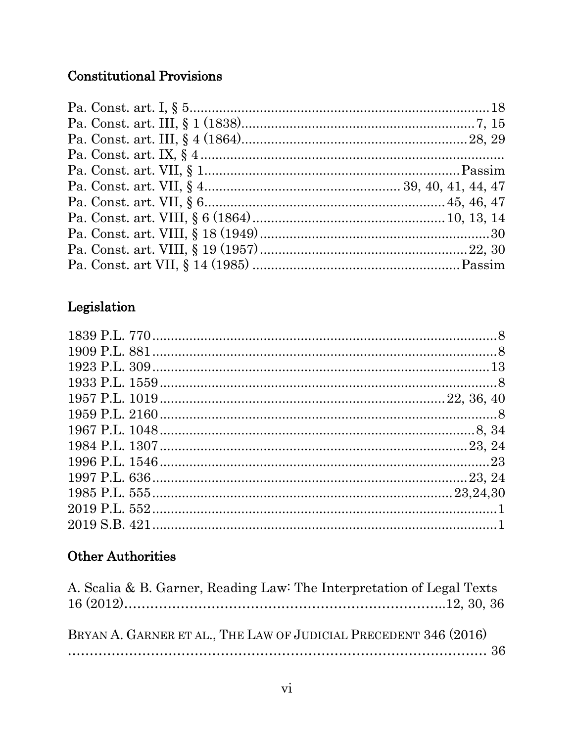# **Constitutional Provisions**

# ${\bf \large \textbf{Leg} islation}$

# **Other Authorities**

| A. Scalia & B. Garner, Reading Law: The Interpretation of Legal Texts |  |
|-----------------------------------------------------------------------|--|
|                                                                       |  |
|                                                                       |  |
| BRYAN A. GARNER ET AL., THE LAW OF JUDICIAL PRECEDENT 346 (2016)      |  |
|                                                                       |  |
|                                                                       |  |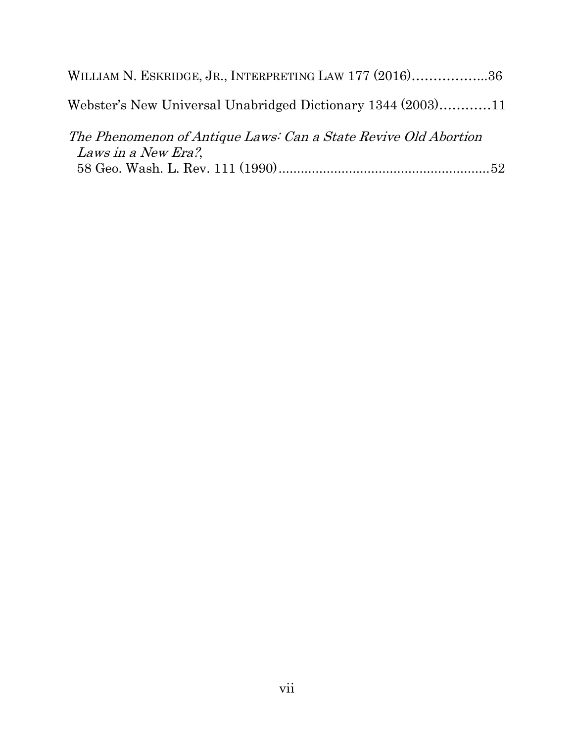| WILLIAM N. ESKRIDGE, JR., INTERPRETING LAW 177 (2016)36                                |  |
|----------------------------------------------------------------------------------------|--|
| Webster's New Universal Unabridged Dictionary 1344 (2003)11                            |  |
| The Phenomenon of Antique Laws: Can a State Revive Old Abortion<br>Laws in a New Era?, |  |
|                                                                                        |  |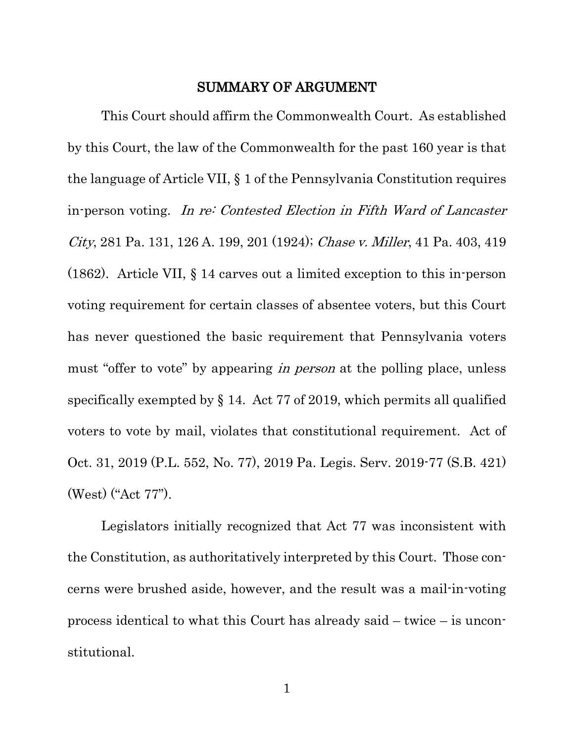#### SUMMARY OF ARGUMENT

<span id="page-9-0"></span>This Court should affirm the Commonwealth Court. As established by this Court, the law of the Commonwealth for the past 160 year is that the language of Article VII, § 1 of the Pennsylvania Constitution requires in-person voting. In re: Contested Election in Fifth Ward of Lancaster City, 281 Pa. 131, 126 A. 199, 201 (1924); Chase v. Miller, 41 Pa. 403, 419 (1862). Article VII, § 14 carves out a limited exception to this in-person voting requirement for certain classes of absentee voters, but this Court has never questioned the basic requirement that Pennsylvania voters must "offer to vote" by appearing *in person* at the polling place, unless specifically exempted by § 14. Act 77 of 2019, which permits all qualified voters to vote by mail, violates that constitutional requirement. Act of Oct. 31, 2019 (P.L. 552, No. 77), 2019 Pa. Legis. Serv. 2019-77 (S.B. 421) (West) ("Act 77").

Legislators initially recognized that Act 77 was inconsistent with the Constitution, as authoritatively interpreted by this Court. Those concerns were brushed aside, however, and the result was a mail-in-voting process identical to what this Court has already said – twice – is unconstitutional.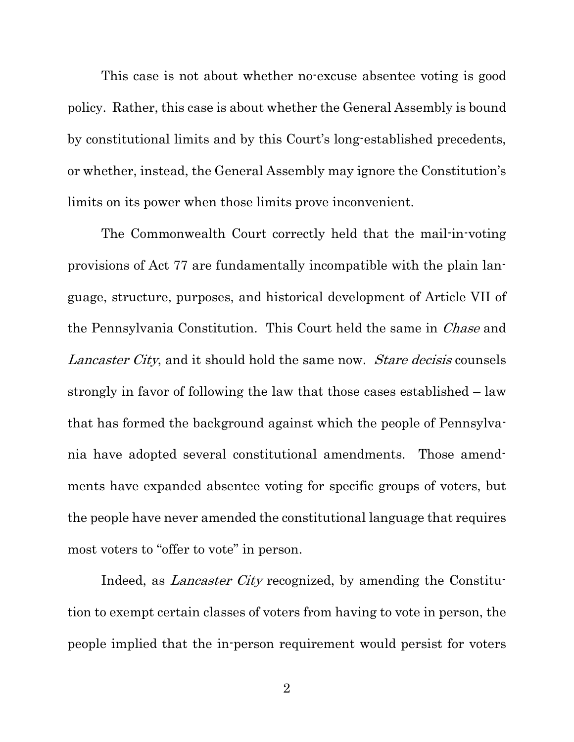This case is not about whether no-excuse absentee voting is good policy. Rather, this case is about whether the General Assembly is bound by constitutional limits and by this Court's long-established precedents, or whether, instead, the General Assembly may ignore the Constitution's limits on its power when those limits prove inconvenient.

The Commonwealth Court correctly held that the mail-in-voting provisions of Act 77 are fundamentally incompatible with the plain language, structure, purposes, and historical development of Article VII of the Pennsylvania Constitution. This Court held the same in *Chase* and Lancaster City, and it should hold the same now. Stare decisis counsels strongly in favor of following the law that those cases established – law that has formed the background against which the people of Pennsylvania have adopted several constitutional amendments. Those amendments have expanded absentee voting for specific groups of voters, but the people have never amended the constitutional language that requires most voters to "offer to vote" in person.

Indeed, as *Lancaster City* recognized, by amending the Constitution to exempt certain classes of voters from having to vote in person, the people implied that the in-person requirement would persist for voters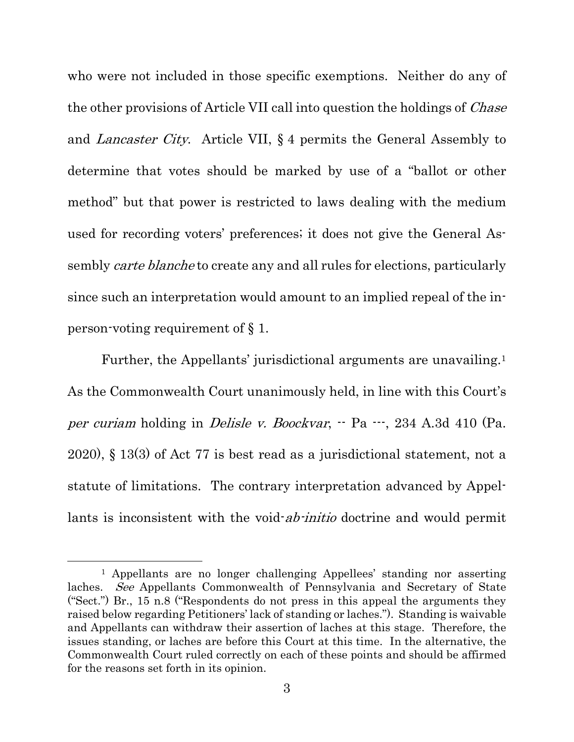who were not included in those specific exemptions. Neither do any of the other provisions of Article VII call into question the holdings of *Chase* and Lancaster City. Article VII, § 4 permits the General Assembly to determine that votes should be marked by use of a "ballot or other method" but that power is restricted to laws dealing with the medium used for recording voters' preferences; it does not give the General Assembly *carte blanche* to create any and all rules for elections, particularly since such an interpretation would amount to an implied repeal of the inperson-voting requirement of § 1.

Further, the Appellants' jurisdictional arguments are unavailing.<sup>[1](#page-11-0)</sup> As the Commonwealth Court unanimously held, in line with this Court's per curiam holding in *Delisle v. Boockvar*,  $-$  Pa  $-$ , 234 A.3d 410 (Pa.) 2020), § 13(3) of Act 77 is best read as a jurisdictional statement, not a statute of limitations. The contrary interpretation advanced by Appellants is inconsistent with the void-*ab-initio* doctrine and would permit

<span id="page-11-0"></span><sup>1</sup> Appellants are no longer challenging Appellees' standing nor asserting laches. See Appellants Commonwealth of Pennsylvania and Secretary of State ("Sect.") Br., 15 n.8 ("Respondents do not press in this appeal the arguments they raised below regarding Petitioners' lack of standing or laches."). Standing is waivable and Appellants can withdraw their assertion of laches at this stage. Therefore, the issues standing, or laches are before this Court at this time. In the alternative, the Commonwealth Court ruled correctly on each of these points and should be affirmed for the reasons set forth in its opinion.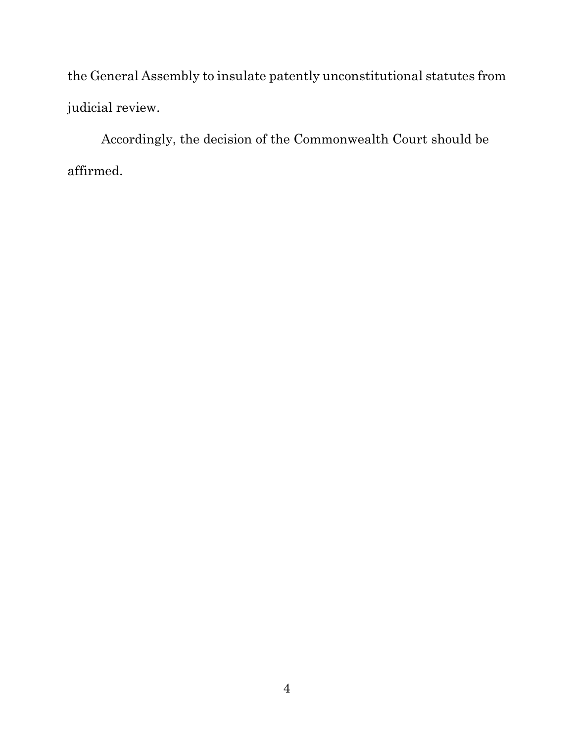the General Assembly to insulate patently unconstitutional statutes from judicial review.

Accordingly, the decision of the Commonwealth Court should be affirmed.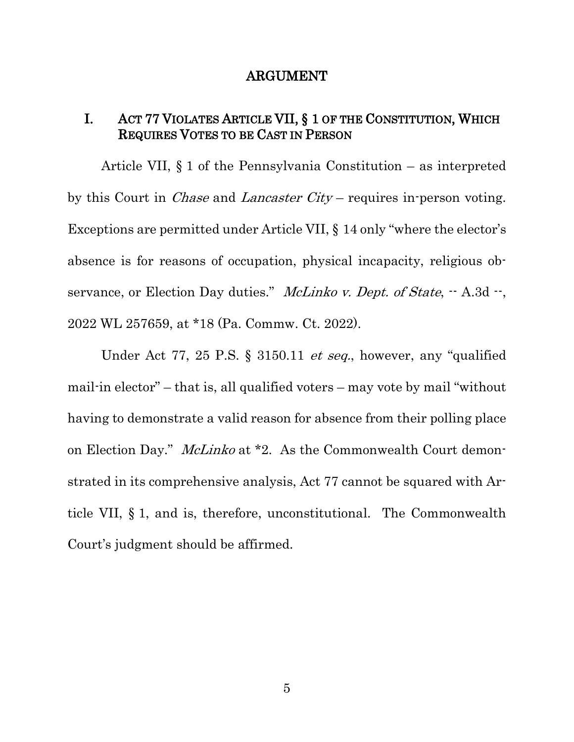#### ARGUMENT

#### <span id="page-13-1"></span><span id="page-13-0"></span>I. ACT 77 VIOLATES ARTICLE VII, § 1 OF THE CONSTITUTION, WHICH REQUIRES VOTES TO BE CAST IN PERSON

Article VII, § 1 of the Pennsylvania Constitution – as interpreted by this Court in Chase and Lancaster City – requires in-person voting. Exceptions are permitted under Article VII, § 14 only "where the elector's absence is for reasons of occupation, physical incapacity, religious observance, or Election Day duties." McLinko v. Dept. of State,  $-$  A.3d  $-$ , 2022 WL 257659, at \*18 (Pa. Commw. Ct. 2022).

Under Act 77, 25 P.S. § 3150.11 *et seq.*, however, any "qualified" mail-in elector" – that is, all qualified voters – may vote by mail "without having to demonstrate a valid reason for absence from their polling place on Election Day." McLinko at \*2. As the Commonwealth Court demonstrated in its comprehensive analysis, Act 77 cannot be squared with Article VII, § 1, and is, therefore, unconstitutional. The Commonwealth Court's judgment should be affirmed.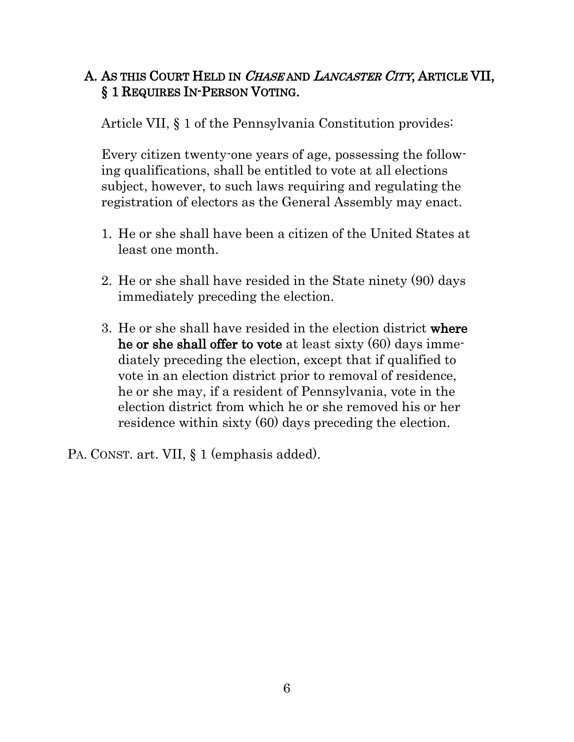## <span id="page-14-0"></span>A. AS THIS COURT HELD IN CHASE AND LANCASTER CITY, ARTICLE VII, § 1 REQUIRES IN-PERSON VOTING.

Article VII, § 1 of the Pennsylvania Constitution provides:

Every citizen twenty-one years of age, possessing the following qualifications, shall be entitled to vote at all elections subject, however, to such laws requiring and regulating the registration of electors as the General Assembly may enact.

- 1. He or she shall have been a citizen of the United States at least one month.
- 2. He or she shall have resided in the State ninety (90) days immediately preceding the election.
- 3. He or she shall have resided in the election district where he or she shall offer to vote at least sixty (60) days immediately preceding the election, except that if qualified to vote in an election district prior to removal of residence, he or she may, if a resident of Pennsylvania, vote in the election district from which he or she removed his or her residence within sixty (60) days preceding the election.

PA. CONST. art. VII, § 1 (emphasis added).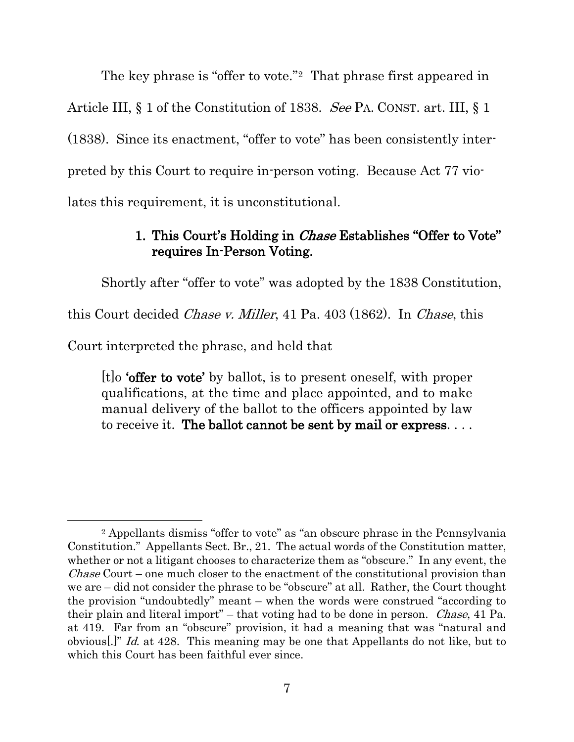The key phrase is "offer to vote."[2](#page-15-1) That phrase first appeared in Article III, § 1 of the Constitution of 1838. See PA. CONST. art. III, § 1 (1838). Since its enactment, "offer to vote" has been consistently interpreted by this Court to require in-person voting. Because Act 77 violates this requirement, it is unconstitutional.

### 1. This Court's Holding in *Chase* Establishes "Offer to Vote" requires In-Person Voting.

<span id="page-15-0"></span>Shortly after "offer to vote" was adopted by the 1838 Constitution,

this Court decided Chase v. Miller, 41 Pa. 403 (1862). In Chase, this

Court interpreted the phrase, and held that

[t]o 'offer to vote' by ballot, is to present oneself, with proper qualifications, at the time and place appointed, and to make manual delivery of the ballot to the officers appointed by law to receive it. The ballot cannot be sent by mail or express....

<span id="page-15-1"></span><sup>2</sup> Appellants dismiss "offer to vote" as "an obscure phrase in the Pennsylvania Constitution." Appellants Sect. Br., 21. The actual words of the Constitution matter, whether or not a litigant chooses to characterize them as "obscure." In any event, the Chase Court – one much closer to the enactment of the constitutional provision than we are – did not consider the phrase to be "obscure" at all. Rather, the Court thought the provision "undoubtedly" meant – when the words were construed "according to their plain and literal import" – that voting had to be done in person. Chase, 41 Pa. at 419. Far from an "obscure" provision, it had a meaning that was "natural and obvious[.]" Id. at 428. This meaning may be one that Appellants do not like, but to which this Court has been faithful ever since.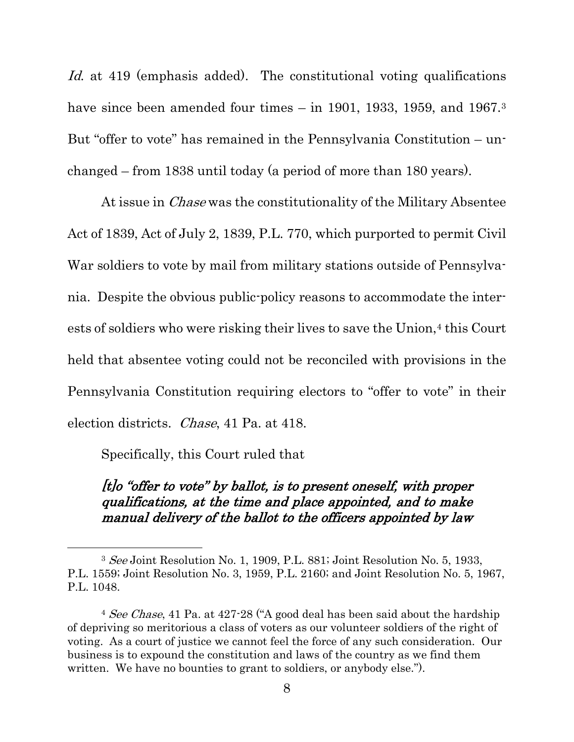Id. at 419 (emphasis added). The constitutional voting qualifications have since been amended four times – in 1901, 19[3](#page-16-0)3, 1959, and 1967.<sup>3</sup> But "offer to vote" has remained in the Pennsylvania Constitution – unchanged – from 1838 until today (a period of more than 180 years).

At issue in *Chase* was the constitutionality of the Military Absentee Act of 1839, Act of July 2, 1839, P.L. 770, which purported to permit Civil War soldiers to vote by mail from military stations outside of Pennsylvania. Despite the obvious public-policy reasons to accommodate the inter-ests of soldiers who were risking their lives to save the Union,<sup>[4](#page-16-1)</sup> this Court held that absentee voting could not be reconciled with provisions in the Pennsylvania Constitution requiring electors to "offer to vote" in their election districts. Chase, 41 Pa. at 418.

Specifically, this Court ruled that

[t]o "offer to vote" by ballot, is to present oneself, with proper qualifications, at the time and place appointed, and to make manual delivery of the ballot to the officers appointed by law

<span id="page-16-0"></span><sup>3</sup> See Joint Resolution No. 1, 1909, P.L. 881; Joint Resolution No. 5, 1933, P.L. 1559; Joint Resolution No. 3, 1959, P.L. 2160; and Joint Resolution No. 5, 1967, P.L. 1048.

<span id="page-16-1"></span><sup>&</sup>lt;sup>4</sup> See Chase, 41 Pa. at  $427$ -28 ("A good deal has been said about the hardship of depriving so meritorious a class of voters as our volunteer soldiers of the right of voting. As a court of justice we cannot feel the force of any such consideration. Our business is to expound the constitution and laws of the country as we find them written. We have no bounties to grant to soldiers, or anybody else.").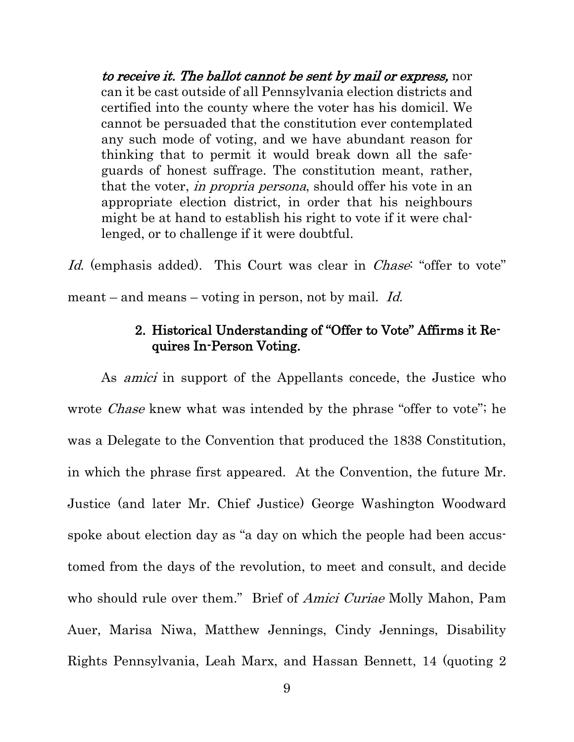to receive it. The ballot cannot be sent by mail or express, nor can it be cast outside of all Pennsylvania election districts and certified into the county where the voter has his domicil. We cannot be persuaded that the constitution ever contemplated any such mode of voting, and we have abundant reason for thinking that to permit it would break down all the safeguards of honest suffrage. The constitution meant, rather, that the voter, *in propria persona*, should offer his vote in an appropriate election district, in order that his neighbours might be at hand to establish his right to vote if it were challenged, or to challenge if it were doubtful.

Id. (emphasis added). This Court was clear in *Chase*: "offer to vote" meant – and means – voting in person, not by mail. Id.

#### 2. Historical Understanding of "Offer to Vote" Affirms it Requires In-Person Voting.

<span id="page-17-0"></span>As *amici* in support of the Appellants concede, the Justice who wrote *Chase* knew what was intended by the phrase "offer to vote"; he was a Delegate to the Convention that produced the 1838 Constitution, in which the phrase first appeared. At the Convention, the future Mr. Justice (and later Mr. Chief Justice) George Washington Woodward spoke about election day as "a day on which the people had been accustomed from the days of the revolution, to meet and consult, and decide who should rule over them." Brief of *Amici Curiae* Molly Mahon, Pam Auer, Marisa Niwa, Matthew Jennings, Cindy Jennings, Disability Rights Pennsylvania, Leah Marx, and Hassan Bennett, 14 (quoting 2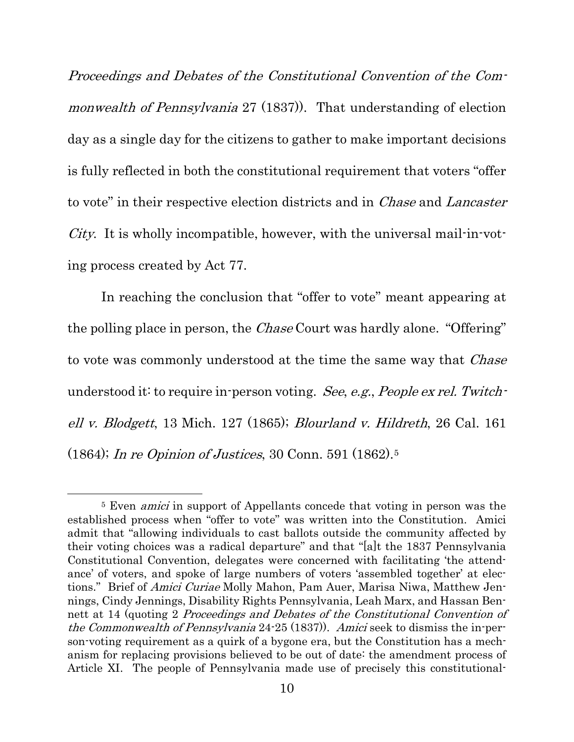Proceedings and Debates of the Constitutional Convention of the Commonwealth of Pennsylvania 27 (1837). That understanding of election day as a single day for the citizens to gather to make important decisions is fully reflected in both the constitutional requirement that voters "offer to vote" in their respective election districts and in *Chase* and *Lancaster* City. It is wholly incompatible, however, with the universal mail-in-voting process created by Act 77.

In reaching the conclusion that "offer to vote" meant appearing at the polling place in person, the Chase Court was hardly alone. "Offering" to vote was commonly understood at the time the same way that *Chase* understood it: to require in-person voting. See, e.g., People ex rel. Twitchell v. Blodgett, 13 Mich. 127 (1865); Blourland v. Hildreth, 26 Cal. 161 (1864); In re Opinion of Justices, 30 Conn. 591 (1862)[.5](#page-18-0)

<span id="page-18-0"></span><sup>5</sup> Even amici in support of Appellants concede that voting in person was the established process when "offer to vote" was written into the Constitution. Amici admit that "allowing individuals to cast ballots outside the community affected by their voting choices was a radical departure" and that "[a]t the 1837 Pennsylvania Constitutional Convention, delegates were concerned with facilitating 'the attendance' of voters, and spoke of large numbers of voters 'assembled together' at elections." Brief of Amici Curiae Molly Mahon, Pam Auer, Marisa Niwa, Matthew Jennings, Cindy Jennings, Disability Rights Pennsylvania, Leah Marx, and Hassan Bennett at 14 (quoting 2 Proceedings and Debates of the Constitutional Convention of the Commonwealth of Pennsylvania 24-25 (1837)). Amici seek to dismiss the in-person-voting requirement as a quirk of a bygone era, but the Constitution has a mechanism for replacing provisions believed to be out of date: the amendment process of Article XI. The people of Pennsylvania made use of precisely this constitutional-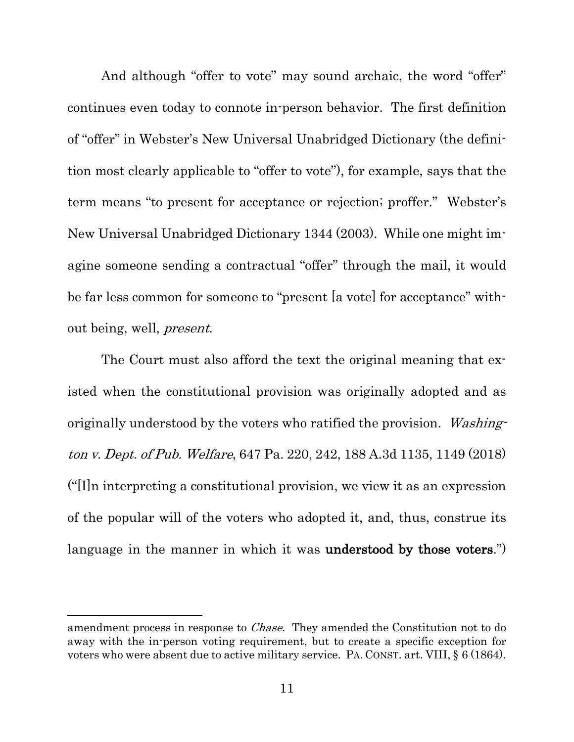And although "offer to vote" may sound archaic, the word "offer" continues even today to connote in-person behavior. The first definition of "offer" in Webster's New Universal Unabridged Dictionary (the definition most clearly applicable to "offer to vote"), for example, says that the term means "to present for acceptance or rejection; proffer." Webster's New Universal Unabridged Dictionary 1344 (2003). While one might imagine someone sending a contractual "offer" through the mail, it would be far less common for someone to "present [a vote] for acceptance" without being, well, present.

The Court must also afford the text the original meaning that existed when the constitutional provision was originally adopted and as originally understood by the voters who ratified the provision. Washington v. Dept. of Pub. Welfare, 647 Pa. 220, 242, 188 A.3d 1135, 1149 (2018) ("[I]n interpreting a constitutional provision, we view it as an expression of the popular will of the voters who adopted it, and, thus, construe its language in the manner in which it was **understood** by those voters.")

amendment process in response to Chase. They amended the Constitution not to do away with the in-person voting requirement, but to create a specific exception for voters who were absent due to active military service. PA. CONST. art. VIII, § 6 (1864).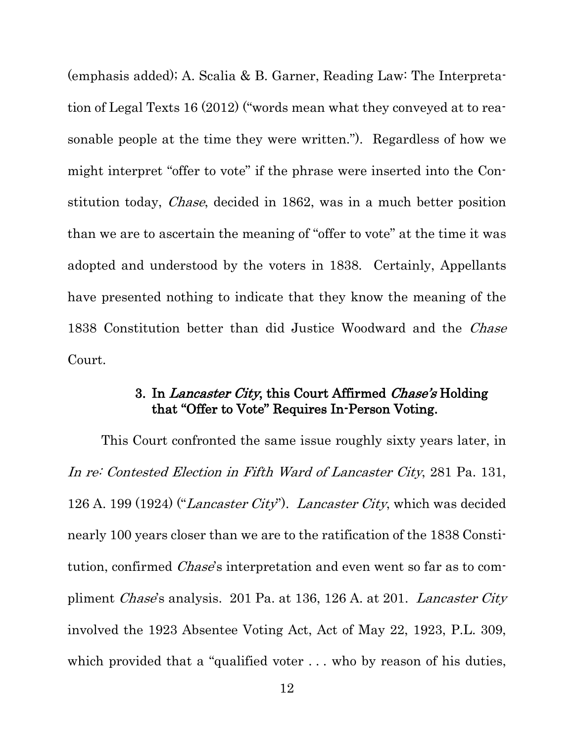(emphasis added); A. Scalia & B. Garner, Reading Law: The Interpretation of Legal Texts 16 (2012) ("words mean what they conveyed at to reasonable people at the time they were written."). Regardless of how we might interpret "offer to vote" if the phrase were inserted into the Constitution today, Chase, decided in 1862, was in a much better position than we are to ascertain the meaning of "offer to vote" at the time it was adopted and understood by the voters in 1838. Certainly, Appellants have presented nothing to indicate that they know the meaning of the 1838 Constitution better than did Justice Woodward and the *Chase* Court.

#### 3. In Lancaster City, this Court Affirmed Chase's Holding that "Offer to Vote" Requires In-Person Voting.

<span id="page-20-0"></span>This Court confronted the same issue roughly sixty years later, in In re: Contested Election in Fifth Ward of Lancaster City, 281 Pa. 131, 126 A. 199 (1924) ("Lancaster City"). Lancaster City, which was decided nearly 100 years closer than we are to the ratification of the 1838 Constitution, confirmed Chase's interpretation and even went so far as to compliment Chase's analysis. 201 Pa. at 136, 126 A. at 201. Lancaster City involved the 1923 Absentee Voting Act, Act of May 22, 1923, P.L. 309, which provided that a "qualified voter ... who by reason of his duties,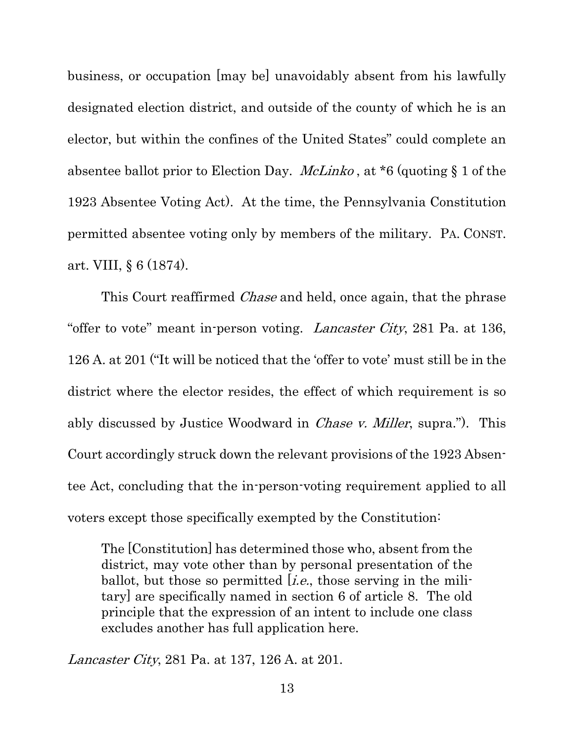business, or occupation [may be] unavoidably absent from his lawfully designated election district, and outside of the county of which he is an elector, but within the confines of the United States" could complete an absentee ballot prior to Election Day. McLinko , at \*6 (quoting § 1 of the 1923 Absentee Voting Act). At the time, the Pennsylvania Constitution permitted absentee voting only by members of the military. PA. CONST. art. VIII, § 6 (1874).

This Court reaffirmed *Chase* and held, once again, that the phrase "offer to vote" meant in-person voting. Lancaster City, 281 Pa. at 136, 126 A. at 201 ("It will be noticed that the 'offer to vote' must still be in the district where the elector resides, the effect of which requirement is so ably discussed by Justice Woodward in *Chase v. Miller*, supra."). This Court accordingly struck down the relevant provisions of the 1923 Absentee Act, concluding that the in-person-voting requirement applied to all voters except those specifically exempted by the Constitution:

The [Constitution] has determined those who, absent from the district, may vote other than by personal presentation of the ballot, but those so permitted  $[i.e.,]$  those serving in the military] are specifically named in section 6 of article 8. The old principle that the expression of an intent to include one class excludes another has full application here.

Lancaster City, 281 Pa. at 137, 126 A. at 201.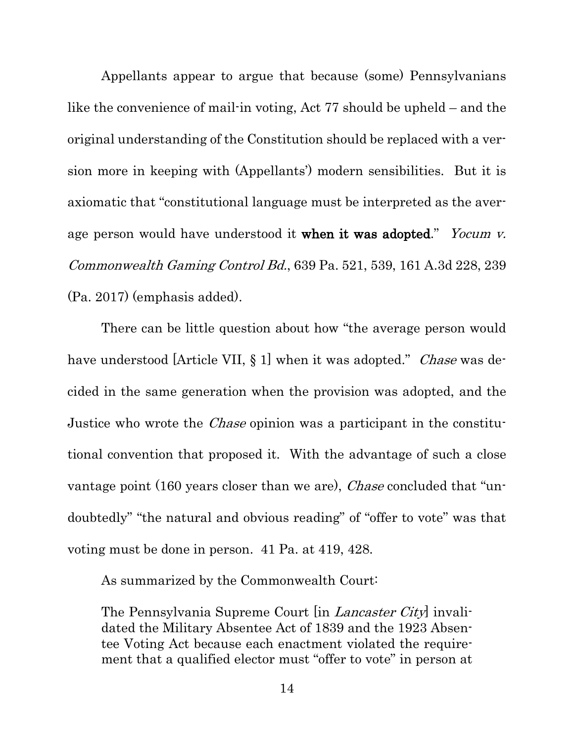Appellants appear to argue that because (some) Pennsylvanians like the convenience of mail-in voting, Act 77 should be upheld – and the original understanding of the Constitution should be replaced with a version more in keeping with (Appellants') modern sensibilities. But it is axiomatic that "constitutional language must be interpreted as the average person would have understood it when it was adopted." Yocum v. Commonwealth Gaming Control Bd., 639 Pa. 521, 539, 161 A.3d 228, 239 (Pa. 2017) (emphasis added).

There can be little question about how "the average person would have understood [Article VII, § 1] when it was adopted." *Chase* was decided in the same generation when the provision was adopted, and the Justice who wrote the Chase opinion was a participant in the constitutional convention that proposed it. With the advantage of such a close vantage point (160 years closer than we are), *Chase* concluded that "undoubtedly" "the natural and obvious reading" of "offer to vote" was that voting must be done in person. 41 Pa. at 419, 428.

As summarized by the Commonwealth Court:

The Pennsylvania Supreme Court [in *Lancaster City*] invalidated the Military Absentee Act of 1839 and the 1923 Absentee Voting Act because each enactment violated the requirement that a qualified elector must "offer to vote" in person at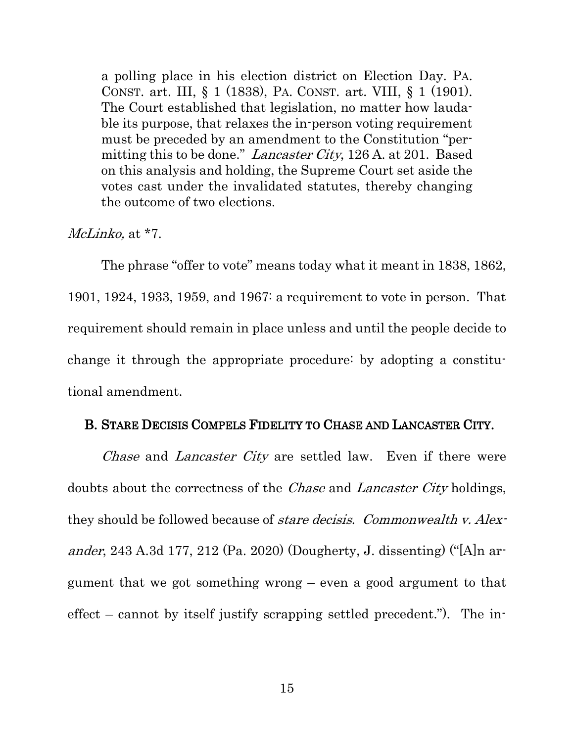a polling place in his election district on Election Day. PA. CONST. art. III, § 1 (1838), PA. CONST. art. VIII, § 1 (1901). The Court established that legislation, no matter how laudable its purpose, that relaxes the in-person voting requirement must be preceded by an amendment to the Constitution "permitting this to be done." Lancaster City, 126 A. at 201. Based on this analysis and holding, the Supreme Court set aside the votes cast under the invalidated statutes, thereby changing the outcome of two elections.

McLinko, at  $*7$ .

The phrase "offer to vote" means today what it meant in 1838, 1862, 1901, 1924, 1933, 1959, and 1967: a requirement to vote in person. That requirement should remain in place unless and until the people decide to change it through the appropriate procedure: by adopting a constitutional amendment.

#### <span id="page-23-0"></span>B. STARE DECISIS COMPELS FIDELITY TO CHASE AND LANCASTER CITY.

Chase and Lancaster City are settled law. Even if there were doubts about the correctness of the *Chase* and *Lancaster City* holdings, they should be followed because of stare decisis. Commonwealth v. Alexander, 243 A.3d 177, 212 (Pa. 2020) (Dougherty, J. dissenting) ("[A]n argument that we got something wrong – even a good argument to that effect – cannot by itself justify scrapping settled precedent."). The in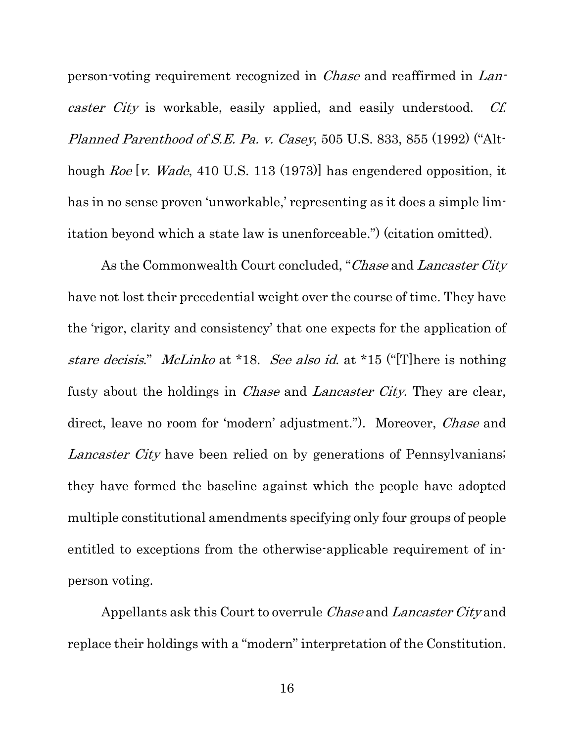person-voting requirement recognized in Chase and reaffirmed in Lancaster City is workable, easily applied, and easily understood. Cf. Planned Parenthood of S.E. Pa. v. Casey, 505 U.S. 833, 855 (1992) ("Although Roe [v. Wade, 410 U.S. 113 (1973)] has engendered opposition, it has in no sense proven 'unworkable,' representing as it does a simple limitation beyond which a state law is unenforceable.") (citation omitted).

As the Commonwealth Court concluded, "Chase and Lancaster City have not lost their precedential weight over the course of time. They have the 'rigor, clarity and consistency' that one expects for the application of stare decisis." McLinko at \*18. See also id. at \*15 ("[T] here is nothing fusty about the holdings in Chase and Lancaster City. They are clear, direct, leave no room for 'modern' adjustment."). Moreover, *Chase* and Lancaster City have been relied on by generations of Pennsylvanians; they have formed the baseline against which the people have adopted multiple constitutional amendments specifying only four groups of people entitled to exceptions from the otherwise-applicable requirement of inperson voting.

Appellants ask this Court to overrule Chase and Lancaster City and replace their holdings with a "modern" interpretation of the Constitution.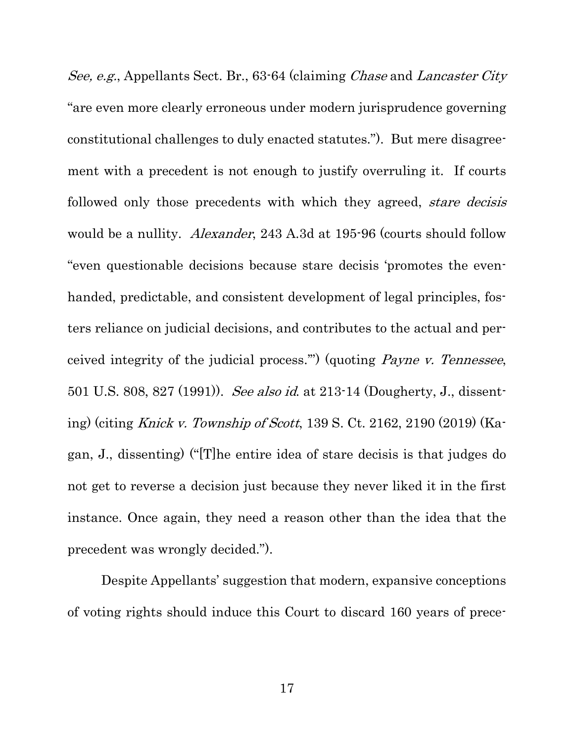See, e.g., Appellants Sect. Br., 63-64 (claiming *Chase* and *Lancaster City* "are even more clearly erroneous under modern jurisprudence governing constitutional challenges to duly enacted statutes."). But mere disagreement with a precedent is not enough to justify overruling it. If courts followed only those precedents with which they agreed, *stare decisis* would be a nullity. *Alexander*, 243 A.3d at 195-96 (courts should follow "even questionable decisions because stare decisis 'promotes the evenhanded, predictable, and consistent development of legal principles, fosters reliance on judicial decisions, and contributes to the actual and perceived integrity of the judicial process.'") (quoting Payne v. Tennessee, 501 U.S. 808, 827 (1991)). See also id. at 213-14 (Dougherty, J., dissenting) (citing Knick v. Township of Scott, 139 S. Ct. 2162, 2190 (2019) (Kagan, J., dissenting) ("[T]he entire idea of stare decisis is that judges do not get to reverse a decision just because they never liked it in the first instance. Once again, they need a reason other than the idea that the precedent was wrongly decided.").

Despite Appellants' suggestion that modern, expansive conceptions of voting rights should induce this Court to discard 160 years of prece-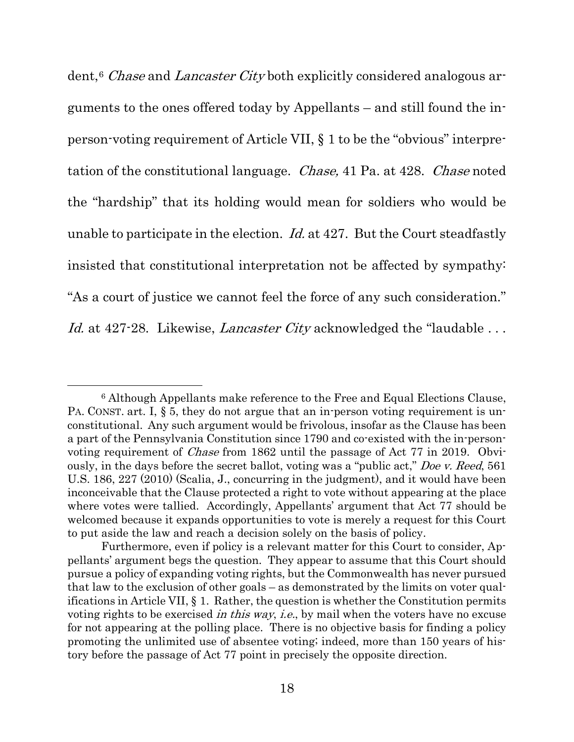dent,<sup>[6](#page-26-0)</sup> Chase and Lancaster City both explicitly considered analogous arguments to the ones offered today by Appellants – and still found the inperson-voting requirement of Article VII, § 1 to be the "obvious" interpretation of the constitutional language. Chase, 41 Pa. at 428. Chase noted the "hardship" that its holding would mean for soldiers who would be unable to participate in the election. Id. at 427. But the Court steadfastly insisted that constitutional interpretation not be affected by sympathy: "As a court of justice we cannot feel the force of any such consideration." Id. at 427-28. Likewise, Lancaster City acknowledged the "laudable ...

<span id="page-26-0"></span><sup>6</sup> Although Appellants make reference to the Free and Equal Elections Clause, PA. CONST. art. I, § 5, they do not argue that an in-person voting requirement is unconstitutional. Any such argument would be frivolous, insofar as the Clause has been a part of the Pennsylvania Constitution since 1790 and co-existed with the in-personvoting requirement of Chase from 1862 until the passage of Act 77 in 2019. Obviously, in the days before the secret ballot, voting was a "public act," Doe v. Reed, 561 U.S. 186, 227 (2010) (Scalia, J., concurring in the judgment), and it would have been inconceivable that the Clause protected a right to vote without appearing at the place where votes were tallied. Accordingly, Appellants' argument that Act 77 should be welcomed because it expands opportunities to vote is merely a request for this Court to put aside the law and reach a decision solely on the basis of policy.

Furthermore, even if policy is a relevant matter for this Court to consider, Appellants' argument begs the question. They appear to assume that this Court should pursue a policy of expanding voting rights, but the Commonwealth has never pursued that law to the exclusion of other goals – as demonstrated by the limits on voter qualifications in Article VII, § 1. Rather, the question is whether the Constitution permits voting rights to be exercised *in this way, i.e.*, by mail when the voters have no excuse for not appearing at the polling place. There is no objective basis for finding a policy promoting the unlimited use of absentee voting; indeed, more than 150 years of history before the passage of Act 77 point in precisely the opposite direction.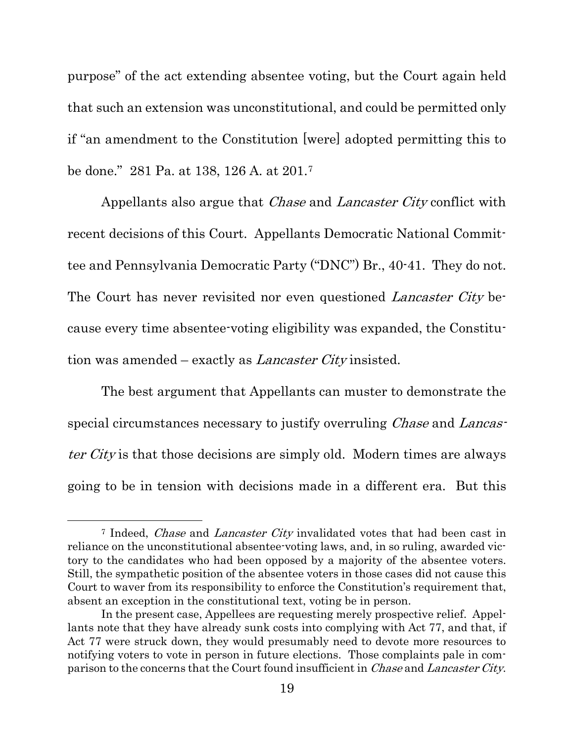purpose" of the act extending absentee voting, but the Court again held that such an extension was unconstitutional, and could be permitted only if "an amendment to the Constitution [were] adopted permitting this to be done." 281 Pa. at 138, 126 A. at 201.[7](#page-27-0)

Appellants also argue that *Chase* and *Lancaster City* conflict with recent decisions of this Court. Appellants Democratic National Committee and Pennsylvania Democratic Party ("DNC") Br., 40-41. They do not. The Court has never revisited nor even questioned *Lancaster City* because every time absentee-voting eligibility was expanded, the Constitution was amended – exactly as *Lancaster City* insisted.

The best argument that Appellants can muster to demonstrate the special circumstances necessary to justify overruling *Chase* and *Lancas*ter City is that those decisions are simply old. Modern times are always going to be in tension with decisions made in a different era. But this

<span id="page-27-0"></span><sup>&</sup>lt;sup>7</sup> Indeed, *Chase* and *Lancaster City* invalidated votes that had been cast in reliance on the unconstitutional absentee-voting laws, and, in so ruling, awarded victory to the candidates who had been opposed by a majority of the absentee voters. Still, the sympathetic position of the absentee voters in those cases did not cause this Court to waver from its responsibility to enforce the Constitution's requirement that, absent an exception in the constitutional text, voting be in person.

In the present case, Appellees are requesting merely prospective relief. Appellants note that they have already sunk costs into complying with Act 77, and that, if Act 77 were struck down, they would presumably need to devote more resources to notifying voters to vote in person in future elections. Those complaints pale in comparison to the concerns that the Court found insufficient in *Chase* and *Lancaster City*.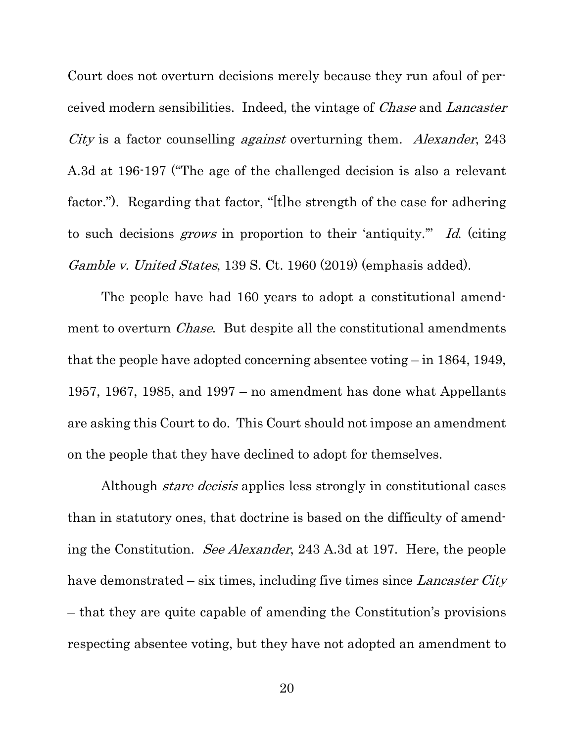Court does not overturn decisions merely because they run afoul of perceived modern sensibilities. Indeed, the vintage of Chase and Lancaster City is a factor counselling *against* overturning them. Alexander, 243 A.3d at 196-197 ("The age of the challenged decision is also a relevant factor."). Regarding that factor, "[t]he strength of the case for adhering to such decisions grows in proportion to their 'antiquity.'" Id. (citing Gamble v. United States, 139 S. Ct. 1960 (2019) (emphasis added).

The people have had 160 years to adopt a constitutional amendment to overturn *Chase*. But despite all the constitutional amendments that the people have adopted concerning absentee voting – in 1864, 1949, 1957, 1967, 1985, and 1997 – no amendment has done what Appellants are asking this Court to do. This Court should not impose an amendment on the people that they have declined to adopt for themselves.

Although *stare decisis* applies less strongly in constitutional cases than in statutory ones, that doctrine is based on the difficulty of amending the Constitution. See Alexander, 243 A.3d at 197. Here, the people have demonstrated – six times, including five times since *Lancaster City* – that they are quite capable of amending the Constitution's provisions respecting absentee voting, but they have not adopted an amendment to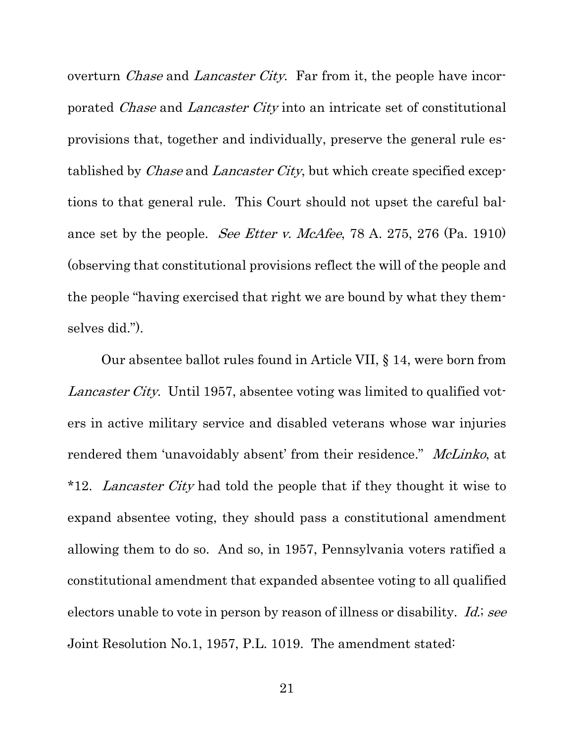overturn *Chase* and *Lancaster City*. Far from it, the people have incorporated Chase and Lancaster City into an intricate set of constitutional provisions that, together and individually, preserve the general rule established by *Chase* and *Lancaster City*, but which create specified exceptions to that general rule. This Court should not upset the careful balance set by the people. See Etter v. McAfee, 78 A. 275, 276 (Pa. 1910) (observing that constitutional provisions reflect the will of the people and the people "having exercised that right we are bound by what they themselves did.").

Our absentee ballot rules found in Article VII, § 14, were born from Lancaster City. Until 1957, absentee voting was limited to qualified voters in active military service and disabled veterans whose war injuries rendered them 'unavoidably absent' from their residence." McLinko, at \*12. Lancaster City had told the people that if they thought it wise to expand absentee voting, they should pass a constitutional amendment allowing them to do so. And so, in 1957, Pennsylvania voters ratified a constitutional amendment that expanded absentee voting to all qualified electors unable to vote in person by reason of illness or disability. Id.; see Joint Resolution No.1, 1957, P.L. 1019. The amendment stated: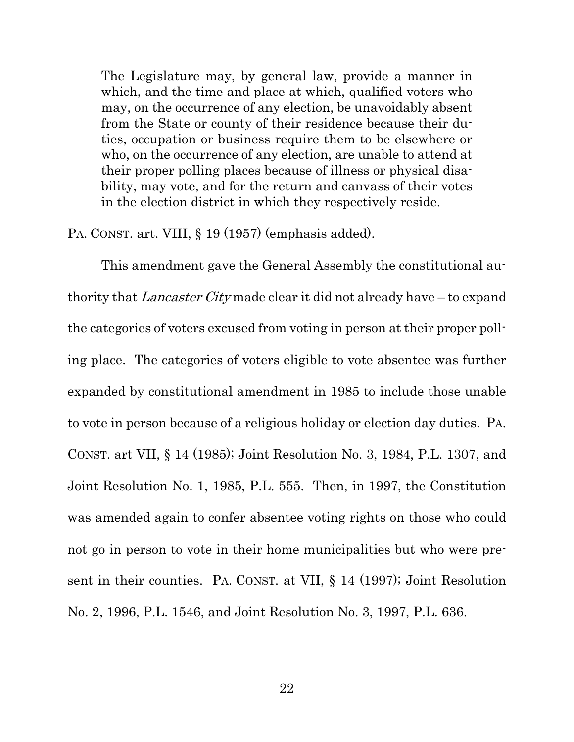The Legislature may, by general law, provide a manner in which, and the time and place at which, qualified voters who may, on the occurrence of any election, be unavoidably absent from the State or county of their residence because their duties, occupation or business require them to be elsewhere or who, on the occurrence of any election, are unable to attend at their proper polling places because of illness or physical disability, may vote, and for the return and canvass of their votes in the election district in which they respectively reside.

PA. CONST. art. VIII, § 19 (1957) (emphasis added).

This amendment gave the General Assembly the constitutional authority that *Lancaster City* made clear it did not already have – to expand the categories of voters excused from voting in person at their proper polling place. The categories of voters eligible to vote absentee was further expanded by constitutional amendment in 1985 to include those unable to vote in person because of a religious holiday or election day duties. PA. CONST. art VII, § 14 (1985); Joint Resolution No. 3, 1984, P.L. 1307, and Joint Resolution No. 1, 1985, P.L. 555. Then, in 1997, the Constitution was amended again to confer absentee voting rights on those who could not go in person to vote in their home municipalities but who were present in their counties. PA. CONST. at VII, § 14 (1997); Joint Resolution No. 2, 1996, P.L. 1546, and Joint Resolution No. 3, 1997, P.L. 636.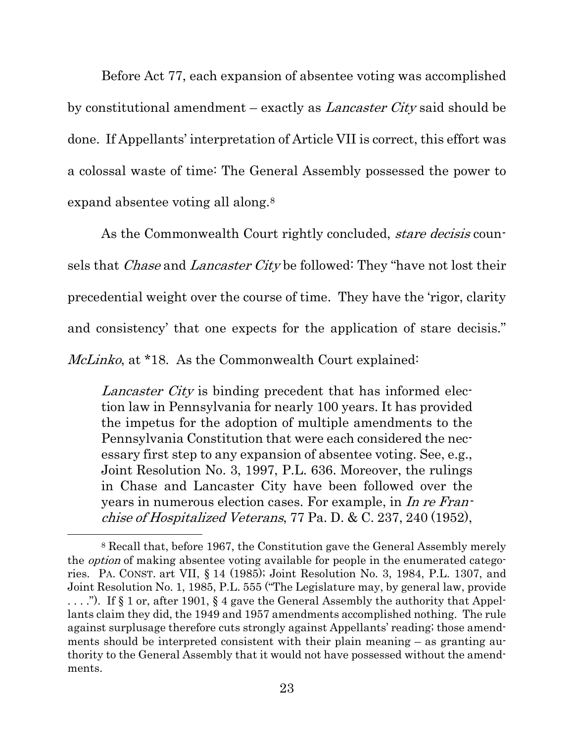Before Act 77, each expansion of absentee voting was accomplished by constitutional amendment – exactly as Lancaster City said should be done. If Appellants' interpretation of Article VII is correct, this effort was a colossal waste of time: The General Assembly possessed the power to expand absentee voting all along.[8](#page-31-0)

As the Commonwealth Court rightly concluded, *stare decisis* counsels that *Chase* and *Lancaster City* be followed: They "have not lost their precedential weight over the course of time. They have the 'rigor, clarity and consistency' that one expects for the application of stare decisis." McLinko, at \*18. As the Commonwealth Court explained:

Lancaster City is binding precedent that has informed election law in Pennsylvania for nearly 100 years. It has provided the impetus for the adoption of multiple amendments to the Pennsylvania Constitution that were each considered the necessary first step to any expansion of absentee voting. See, e.g., Joint Resolution No. 3, 1997, P.L. 636. Moreover, the rulings in Chase and Lancaster City have been followed over the years in numerous election cases. For example, in In re Franchise of Hospitalized Veterans, 77 Pa. D. & C. 237, 240 (1952),

<span id="page-31-0"></span><sup>8</sup> Recall that, before 1967, the Constitution gave the General Assembly merely the option of making absentee voting available for people in the enumerated categories. PA. CONST. art VII, § 14 (1985); Joint Resolution No. 3, 1984, P.L. 1307, and Joint Resolution No. 1, 1985, P.L. 555 ("The Legislature may, by general law, provide . . . ."). If § 1 or, after 1901, § 4 gave the General Assembly the authority that Appellants claim they did, the 1949 and 1957 amendments accomplished nothing. The rule against surplusage therefore cuts strongly against Appellants' reading; those amendments should be interpreted consistent with their plain meaning – as granting authority to the General Assembly that it would not have possessed without the amendments.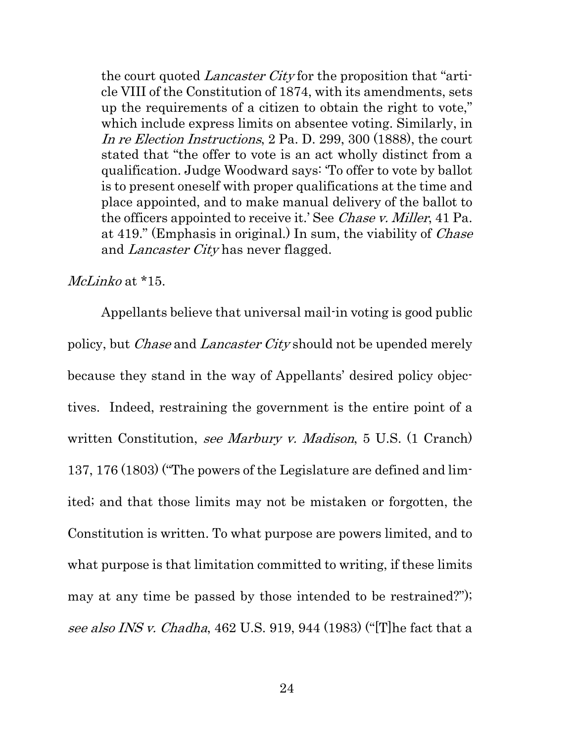the court quoted *Lancaster City* for the proposition that "article VIII of the Constitution of 1874, with its amendments, sets up the requirements of a citizen to obtain the right to vote," which include express limits on absentee voting. Similarly, in In re Election Instructions, 2 Pa. D. 299, 300 (1888), the court stated that "the offer to vote is an act wholly distinct from a qualification. Judge Woodward says: 'To offer to vote by ballot is to present oneself with proper qualifications at the time and place appointed, and to make manual delivery of the ballot to the officers appointed to receive it.' See Chase v. Miller, 41 Pa. at 419." (Emphasis in original.) In sum, the viability of *Chase* and Lancaster City has never flagged.

#### McLinko at \*15.

Appellants believe that universal mail-in voting is good public policy, but Chase and Lancaster City should not be upended merely because they stand in the way of Appellants' desired policy objectives. Indeed, restraining the government is the entire point of a written Constitution, see Marbury v. Madison, 5 U.S. (1 Cranch) 137, 176 (1803) ("The powers of the Legislature are defined and limited; and that those limits may not be mistaken or forgotten, the Constitution is written. To what purpose are powers limited, and to what purpose is that limitation committed to writing, if these limits may at any time be passed by those intended to be restrained?"); see also INS v. Chadha, 462 U.S. 919, 944 (1983) ("[T] he fact that a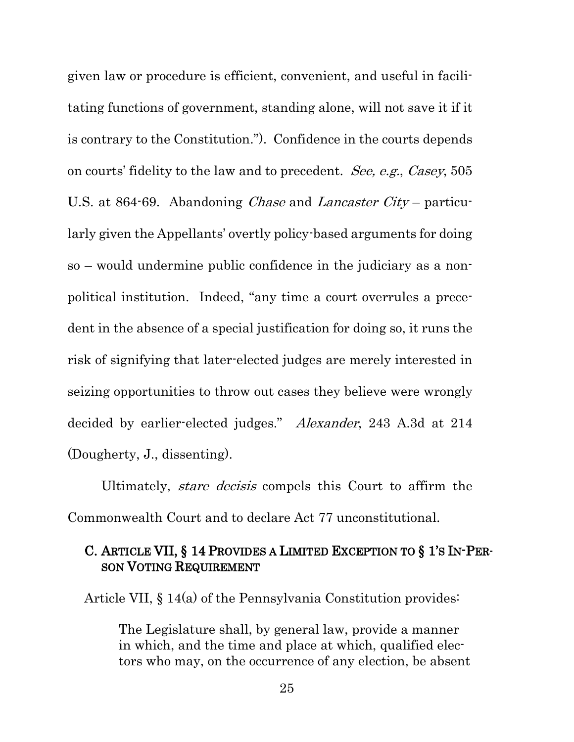given law or procedure is efficient, convenient, and useful in facilitating functions of government, standing alone, will not save it if it is contrary to the Constitution."). Confidence in the courts depends on courts' fidelity to the law and to precedent. See, e.g., Casey, 505 U.S. at 864-69. Abandoning *Chase* and *Lancaster City* – particularly given the Appellants' overtly policy-based arguments for doing so – would undermine public confidence in the judiciary as a nonpolitical institution. Indeed, "any time a court overrules a precedent in the absence of a special justification for doing so, it runs the risk of signifying that later-elected judges are merely interested in seizing opportunities to throw out cases they believe were wrongly decided by earlier-elected judges." Alexander, 243 A.3d at 214 (Dougherty, J., dissenting).

Ultimately, stare decisis compels this Court to affirm the Commonwealth Court and to declare Act 77 unconstitutional.

#### <span id="page-33-0"></span>C. ARTICLE VII, § 14 PROVIDES A LIMITED EXCEPTION TO § 1'S IN-PER-SON VOTING REQUIREMENT

Article VII, § 14(a) of the Pennsylvania Constitution provides:

The Legislature shall, by general law, provide a manner in which, and the time and place at which, qualified electors who may, on the occurrence of any election, be absent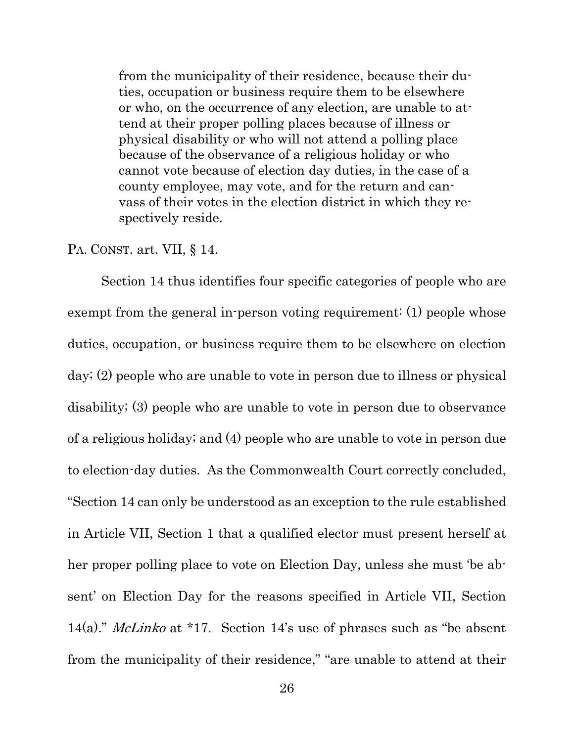from the municipality of their residence, because their duties, occupation or business require them to be elsewhere or who, on the occurrence of any election, are unable to attend at their proper polling places because of illness or physical disability or who will not attend a polling place because of the observance of a religious holiday or who cannot vote because of election day duties, in the case of a county employee, may vote, and for the return and canvass of their votes in the election district in which they respectively reside.

#### PA. CONST. art. VII, § 14.

Section 14 thus identifies four specific categories of people who are exempt from the general in-person voting requirement: (1) people whose duties, occupation, or business require them to be elsewhere on election day; (2) people who are unable to vote in person due to illness or physical disability; (3) people who are unable to vote in person due to observance of a religious holiday; and (4) people who are unable to vote in person due to election-day duties. As the Commonwealth Court correctly concluded, "Section 14 can only be understood as an exception to the rule established in Article VII, Section 1 that a qualified elector must present herself at her proper polling place to vote on Election Day, unless she must 'be absent' on Election Day for the reasons specified in Article VII, Section 14(a)." McLinko at \*17. Section 14's use of phrases such as "be absent from the municipality of their residence," "are unable to attend at their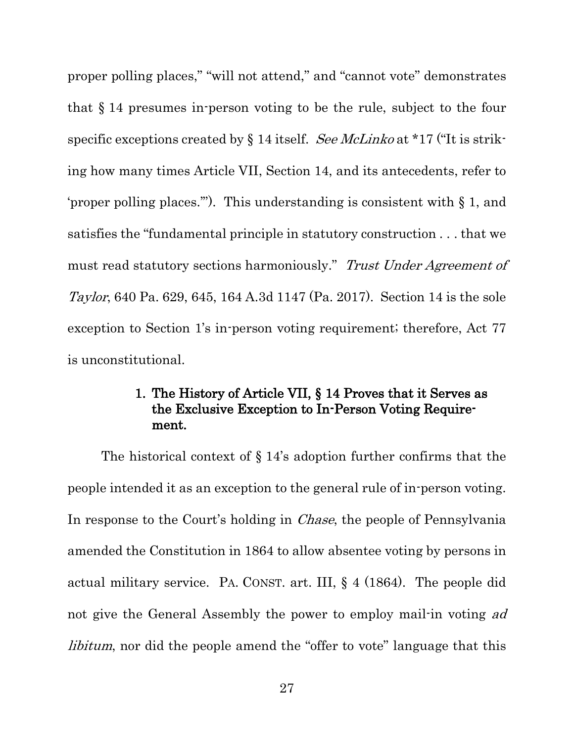proper polling places," "will not attend," and "cannot vote" demonstrates that § 14 presumes in-person voting to be the rule, subject to the four specific exceptions created by  $\S 14$  itself. See McLinko at \*17 ("It is striking how many times Article VII, Section 14, and its antecedents, refer to 'proper polling places.'"). This understanding is consistent with § 1, and satisfies the "fundamental principle in statutory construction . . . that we must read statutory sections harmoniously." Trust Under Agreement of Taylor, 640 Pa. 629, 645, 164 A.3d 1147 (Pa. 2017). Section 14 is the sole exception to Section 1's in-person voting requirement; therefore, Act 77 is unconstitutional.

### 1. The History of Article VII, § 14 Proves that it Serves as the Exclusive Exception to In-Person Voting Requirement.

<span id="page-35-0"></span>The historical context of  $\S 14$ 's adoption further confirms that the people intended it as an exception to the general rule of in-person voting. In response to the Court's holding in *Chase*, the people of Pennsylvania amended the Constitution in 1864 to allow absentee voting by persons in actual military service. PA. CONST. art. III, § 4 (1864). The people did not give the General Assembly the power to employ mail-in voting ad libitum, nor did the people amend the "offer to vote" language that this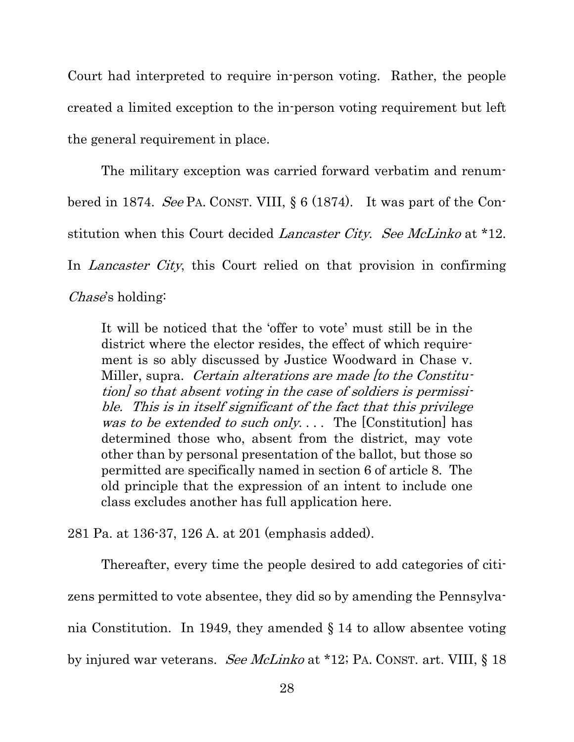Court had interpreted to require in-person voting. Rather, the people created a limited exception to the in-person voting requirement but left the general requirement in place.

The military exception was carried forward verbatim and renumbered in 1874. See PA. CONST. VIII, § 6 (1874). It was part of the Constitution when this Court decided *Lancaster City.* See McLinko at \*12. In *Lancaster City*, this Court relied on that provision in confirming Chase's holding:

It will be noticed that the 'offer to vote' must still be in the district where the elector resides, the effect of which requirement is so ably discussed by Justice Woodward in Chase v. Miller, supra. Certain alterations are made [to the Constitution] so that absent voting in the case of soldiers is permissible. This is in itself significant of the fact that this privilege was to be extended to such only.... The [Constitution] has determined those who, absent from the district, may vote other than by personal presentation of the ballot, but those so permitted are specifically named in section 6 of article 8. The old principle that the expression of an intent to include one class excludes another has full application here.

281 Pa. at 136-37, 126 A. at 201 (emphasis added).

Thereafter, every time the people desired to add categories of citizens permitted to vote absentee, they did so by amending the Pennsylvania Constitution. In 1949, they amended § 14 to allow absentee voting by injured war veterans. See McLinko at \*12; PA. CONST. art. VIII, § 18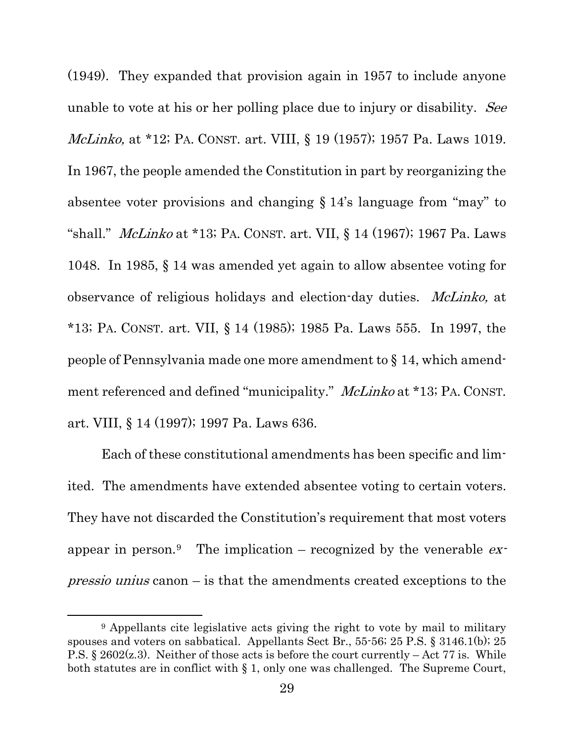(1949). They expanded that provision again in 1957 to include anyone unable to vote at his or her polling place due to injury or disability. See McLinko, at \*12; PA. CONST. art. VIII, § 19 (1957); 1957 Pa. Laws 1019. In 1967, the people amended the Constitution in part by reorganizing the absentee voter provisions and changing § 14's language from "may" to "shall." *McLinko* at \*13; PA. CONST. art. VII, § 14 (1967); 1967 Pa. Laws 1048. In 1985, § 14 was amended yet again to allow absentee voting for observance of religious holidays and election-day duties. *McLinko*, at \*13; PA. CONST. art. VII, § 14 (1985); 1985 Pa. Laws 555. In 1997, the people of Pennsylvania made one more amendment to § 14, which amendment referenced and defined "municipality." McLinko at \*13; PA. CONST. art. VIII, § 14 (1997); 1997 Pa. Laws 636.

Each of these constitutional amendments has been specific and limited. The amendments have extended absentee voting to certain voters. They have not discarded the Constitution's requirement that most voters appear in person.<sup>[9](#page-37-0)</sup> The implication – recognized by the venerable  $ex$ *pressio unius* canon  $-\text{ is that the amendments created exceptions to the$ 

<span id="page-37-0"></span><sup>&</sup>lt;sup>9</sup> Appellants cite legislative acts giving the right to vote by mail to military spouses and voters on sabbatical. Appellants Sect Br., 55-56; 25 P.S. § 3146.1(b); 25 P.S.  $\S 2602(z,3)$ . Neither of those acts is before the court currently – Act 77 is. While both statutes are in conflict with § 1, only one was challenged. The Supreme Court,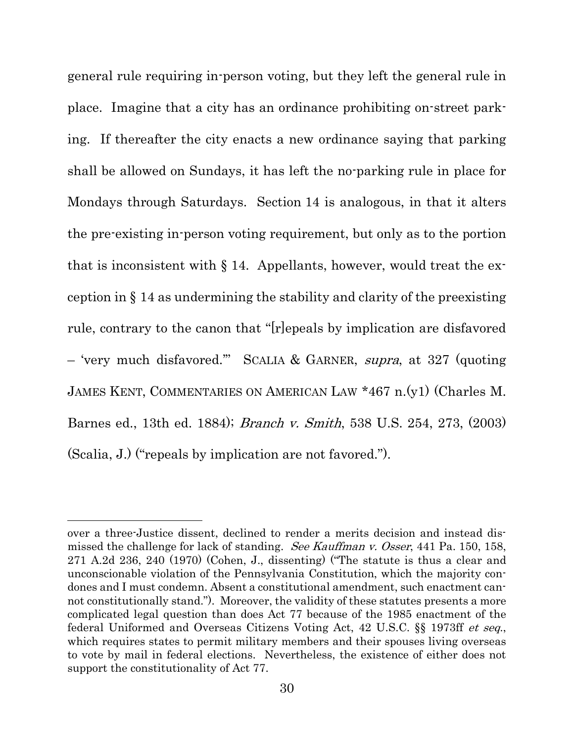general rule requiring in-person voting, but they left the general rule in place. Imagine that a city has an ordinance prohibiting on-street parking. If thereafter the city enacts a new ordinance saying that parking shall be allowed on Sundays, it has left the no-parking rule in place for Mondays through Saturdays. Section 14 is analogous, in that it alters the pre-existing in-person voting requirement, but only as to the portion that is inconsistent with  $\S 14$ . Appellants, however, would treat the exception in § 14 as undermining the stability and clarity of the preexisting rule, contrary to the canon that "[r]epeals by implication are disfavored – 'very much disfavored.'" SCALIA & GARNER, supra, at 327 (quoting JAMES KENT, COMMENTARIES ON AMERICAN LAW \*467 n.(y1) (Charles M. Barnes ed., 13th ed. 1884); Branch v. Smith, 538 U.S. 254, 273, (2003) (Scalia, J.) ("repeals by implication are not favored.").

over a three-Justice dissent, declined to render a merits decision and instead dismissed the challenge for lack of standing. See Kauffman v. Osser, 441 Pa. 150, 158, 271 A.2d 236, 240 (1970) (Cohen, J., dissenting) ("The statute is thus a clear and unconscionable violation of the Pennsylvania Constitution, which the majority condones and I must condemn. Absent a constitutional amendment, such enactment cannot constitutionally stand."). Moreover, the validity of these statutes presents a more complicated legal question than does Act 77 because of the 1985 enactment of the federal Uniformed and Overseas Citizens Voting Act, 42 U.S.C. §§ 1973ff et seq., which requires states to permit military members and their spouses living overseas to vote by mail in federal elections. Nevertheless, the existence of either does not support the constitutionality of Act 77.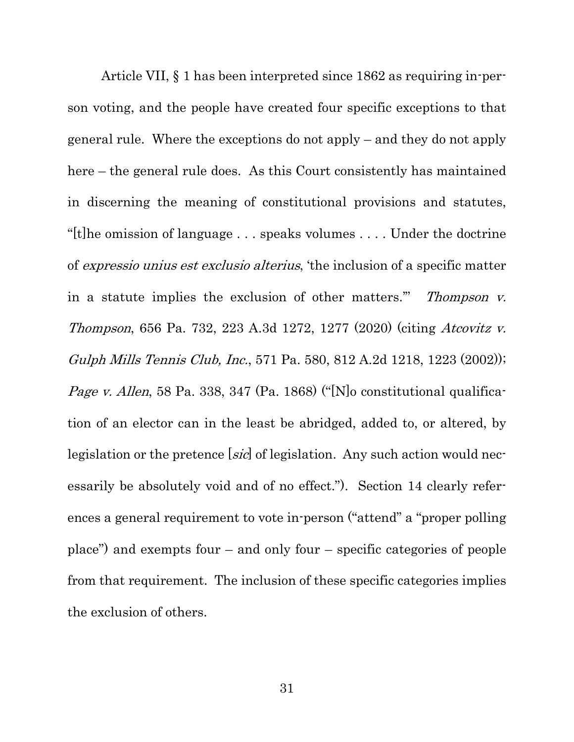Article VII, § 1 has been interpreted since 1862 as requiring in-person voting, and the people have created four specific exceptions to that general rule. Where the exceptions do not apply – and they do not apply here – the general rule does. As this Court consistently has maintained in discerning the meaning of constitutional provisions and statutes, "[t]he omission of language  $\dots$  speaks volumes  $\dots$  Under the doctrine" of expressio unius est exclusio alterius, 'the inclusion of a specific matter in a statute implies the exclusion of other matters." Thompson v. Thompson, 656 Pa. 732, 223 A.3d 1272, 1277 (2020) (citing Atcovitz v. Gulph Mills Tennis Club, Inc., 571 Pa. 580, 812 A.2d 1218, 1223 (2002)); Page v. Allen, 58 Pa. 338, 347 (Pa. 1868) ("[N]o constitutional qualification of an elector can in the least be abridged, added to, or altered, by legislation or the pretence [sic] of legislation. Any such action would necessarily be absolutely void and of no effect."). Section 14 clearly references a general requirement to vote in-person ("attend" a "proper polling place") and exempts four – and only four – specific categories of people from that requirement. The inclusion of these specific categories implies the exclusion of others.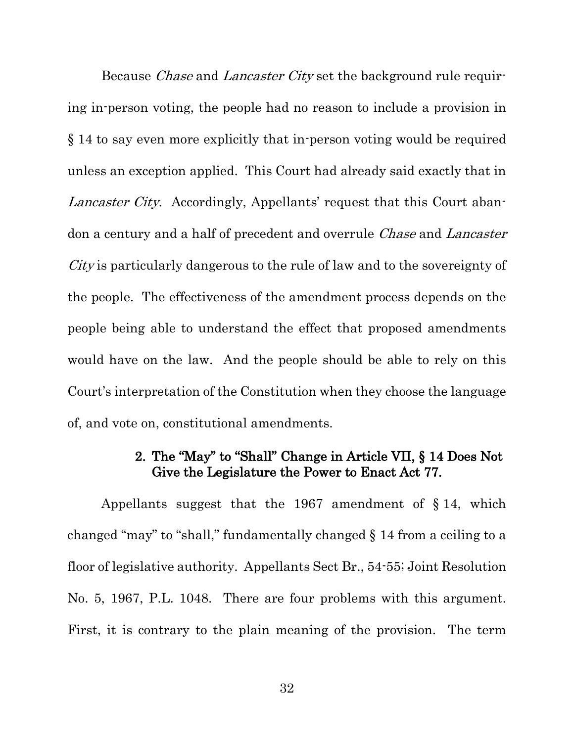Because *Chase* and *Lancaster City* set the background rule requiring in-person voting, the people had no reason to include a provision in § 14 to say even more explicitly that in-person voting would be required unless an exception applied. This Court had already said exactly that in Lancaster City. Accordingly, Appellants' request that this Court abandon a century and a half of precedent and overrule *Chase* and *Lancaster* City is particularly dangerous to the rule of law and to the sovereignty of the people. The effectiveness of the amendment process depends on the people being able to understand the effect that proposed amendments would have on the law. And the people should be able to rely on this Court's interpretation of the Constitution when they choose the language of, and vote on, constitutional amendments.

#### 2. The "May" to "Shall" Change in Article VII, § 14 Does Not Give the Legislature the Power to Enact Act 77.

<span id="page-40-0"></span>Appellants suggest that the 1967 amendment of § 14, which changed "may" to "shall," fundamentally changed § 14 from a ceiling to a floor of legislative authority. Appellants Sect Br., 54-55; Joint Resolution No. 5, 1967, P.L. 1048. There are four problems with this argument. First, it is contrary to the plain meaning of the provision. The term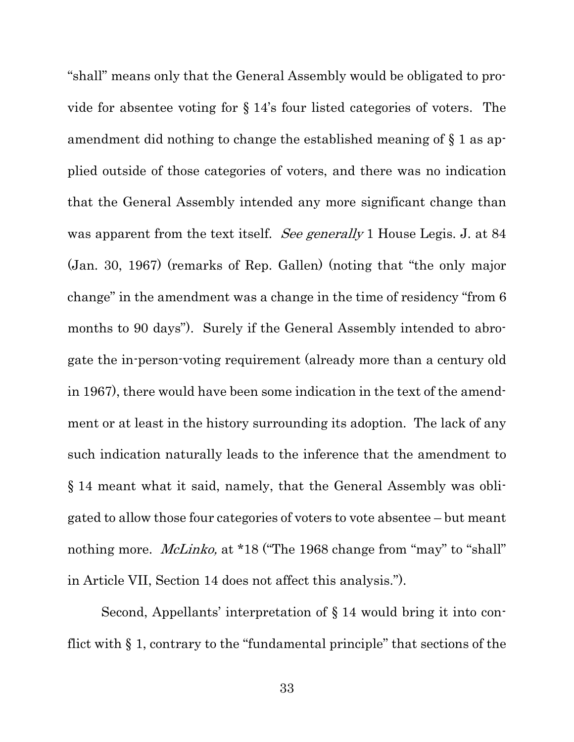"shall" means only that the General Assembly would be obligated to provide for absentee voting for § 14's four listed categories of voters. The amendment did nothing to change the established meaning of § 1 as applied outside of those categories of voters, and there was no indication that the General Assembly intended any more significant change than was apparent from the text itself. See generally 1 House Legis. J. at 84 (Jan. 30, 1967) (remarks of Rep. Gallen) (noting that "the only major change" in the amendment was a change in the time of residency "from 6 months to 90 days"). Surely if the General Assembly intended to abrogate the in-person-voting requirement (already more than a century old in 1967), there would have been some indication in the text of the amendment or at least in the history surrounding its adoption. The lack of any such indication naturally leads to the inference that the amendment to § 14 meant what it said, namely, that the General Assembly was obligated to allow those four categories of voters to vote absentee – but meant nothing more. *McLinko*, at \*18 ("The 1968 change from "may" to "shall" in Article VII, Section 14 does not affect this analysis.").

Second, Appellants' interpretation of § 14 would bring it into conflict with § 1, contrary to the "fundamental principle" that sections of the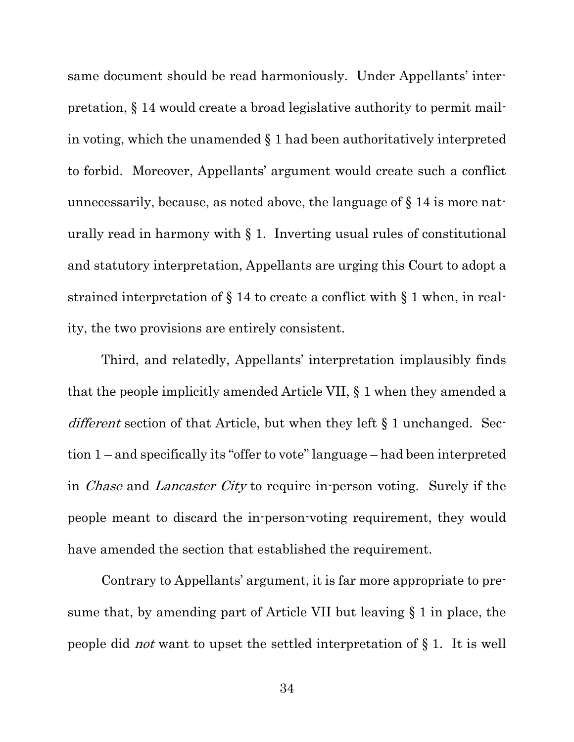same document should be read harmoniously. Under Appellants' interpretation, § 14 would create a broad legislative authority to permit mailin voting, which the unamended § 1 had been authoritatively interpreted to forbid. Moreover, Appellants' argument would create such a conflict unnecessarily, because, as noted above, the language of § 14 is more naturally read in harmony with  $\S$  1. Inverting usual rules of constitutional and statutory interpretation, Appellants are urging this Court to adopt a strained interpretation of § 14 to create a conflict with § 1 when, in reality, the two provisions are entirely consistent.

Third, and relatedly, Appellants' interpretation implausibly finds that the people implicitly amended Article VII, § 1 when they amended a different section of that Article, but when they left § 1 unchanged. Section 1 – and specifically its "offer to vote" language – had been interpreted in *Chase* and *Lancaster City* to require in-person voting. Surely if the people meant to discard the in-person-voting requirement, they would have amended the section that established the requirement.

Contrary to Appellants' argument, it is far more appropriate to presume that, by amending part of Article VII but leaving § 1 in place, the people did not want to upset the settled interpretation of § 1. It is well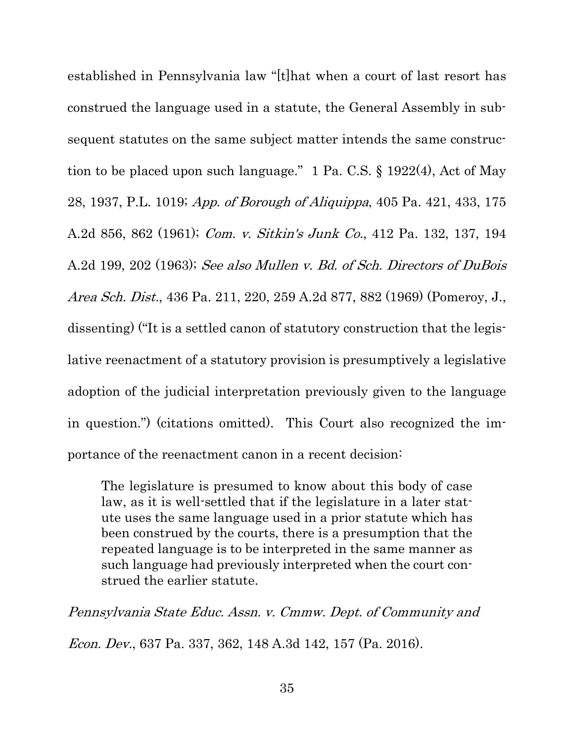established in Pennsylvania law "[t]hat when a court of last resort has construed the language used in a statute, the General Assembly in subsequent statutes on the same subject matter intends the same construction to be placed upon such language." 1 Pa. C.S. § 1922(4), Act of May 28, 1937, P.L. 1019; App. of Borough of Aliquippa, 405 Pa. 421, 433, 175 A.2d 856, 862 (1961); Com. v. Sitkin's Junk Co., 412 Pa. 132, 137, 194 A.2d 199, 202 (1963); See also Mullen v. Bd. of Sch. Directors of DuBois Area Sch. Dist., 436 Pa. 211, 220, 259 A.2d 877, 882 (1969) (Pomeroy, J., dissenting) ("It is a settled canon of statutory construction that the legislative reenactment of a statutory provision is presumptively a legislative adoption of the judicial interpretation previously given to the language in question.") (citations omitted). This Court also recognized the importance of the reenactment canon in a recent decision:

The legislature is presumed to know about this body of case law, as it is well-settled that if the legislature in a later statute uses the same language used in a prior statute which has been construed by the courts, there is a presumption that the repeated language is to be interpreted in the same manner as such language had previously interpreted when the court construed the earlier statute.

Pennsylvania State Educ. Assn. v. Cmmw. Dept. of Community and Econ. Dev., 637 Pa. 337, 362, 148 A.3d 142, 157 (Pa. 2016).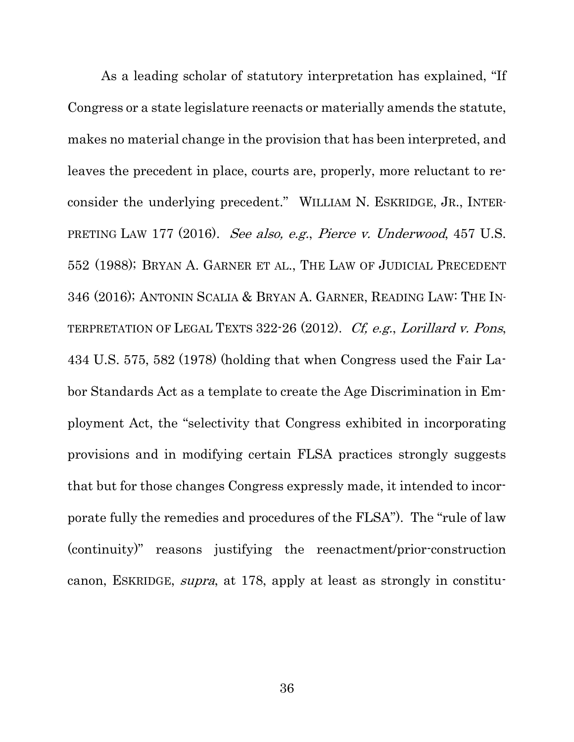As a leading scholar of statutory interpretation has explained, "If Congress or a state legislature reenacts or materially amends the statute, makes no material change in the provision that has been interpreted, and leaves the precedent in place, courts are, properly, more reluctant to reconsider the underlying precedent." WILLIAM N. ESKRIDGE, JR., INTER-PRETING LAW 177 (2016). See also, e.g., Pierce v. Underwood, 457 U.S. 552 (1988); BRYAN A. GARNER ET AL., THE LAW OF JUDICIAL PRECEDENT 346 (2016); ANTONIN SCALIA & BRYAN A. GARNER, READING LAW: THE IN-TERPRETATION OF LEGAL TEXTS 322-26 (2012). Cf, e.g., Lorillard v. Pons, 434 U.S. 575, 582 (1978) (holding that when Congress used the Fair Labor Standards Act as a template to create the Age Discrimination in Employment Act, the "selectivity that Congress exhibited in incorporating provisions and in modifying certain FLSA practices strongly suggests that but for those changes Congress expressly made, it intended to incorporate fully the remedies and procedures of the FLSA"). The "rule of law (continuity)" reasons justifying the reenactment/prior-construction canon, ESKRIDGE, supra, at 178, apply at least as strongly in constitu-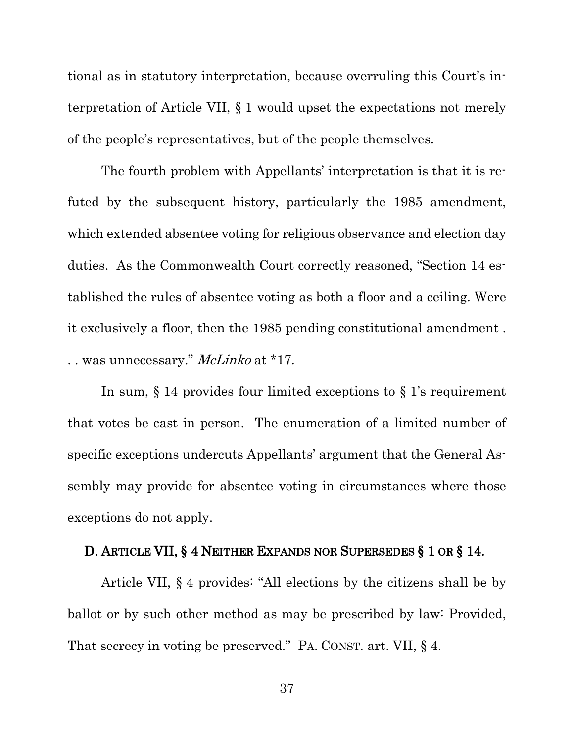tional as in statutory interpretation, because overruling this Court's interpretation of Article VII, § 1 would upset the expectations not merely of the people's representatives, but of the people themselves.

The fourth problem with Appellants' interpretation is that it is refuted by the subsequent history, particularly the 1985 amendment, which extended absentee voting for religious observance and election day duties. As the Commonwealth Court correctly reasoned, "Section 14 established the rules of absentee voting as both a floor and a ceiling. Were it exclusively a floor, then the 1985 pending constitutional amendment . .. was unnecessary." McLinko at \*17.

In sum, § 14 provides four limited exceptions to § 1's requirement that votes be cast in person. The enumeration of a limited number of specific exceptions undercuts Appellants' argument that the General Assembly may provide for absentee voting in circumstances where those exceptions do not apply.

#### <span id="page-45-0"></span>D. ARTICLE VII, § 4 NEITHER EXPANDS NOR SUPERSEDES § 1 OR § 14.

Article VII, § 4 provides: "All elections by the citizens shall be by ballot or by such other method as may be prescribed by law: Provided, That secrecy in voting be preserved." PA. CONST. art. VII, § 4.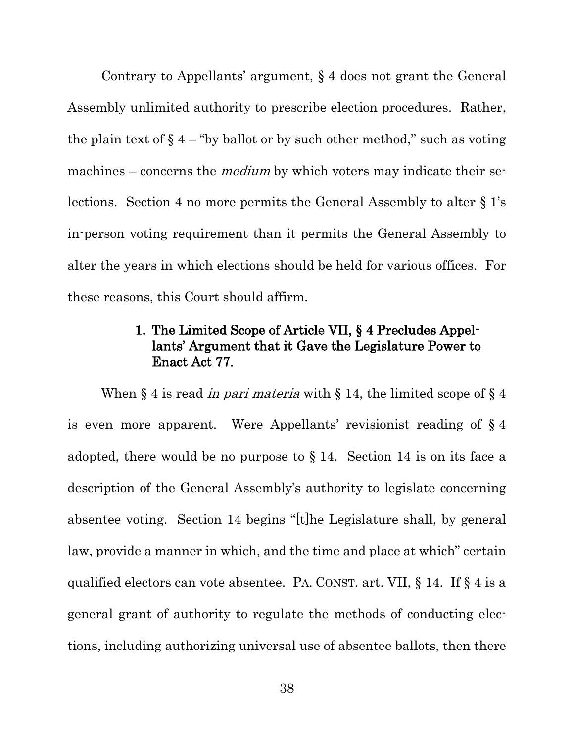Contrary to Appellants' argument, § 4 does not grant the General Assembly unlimited authority to prescribe election procedures. Rather, the plain text of  $\S$  4 – "by ballot or by such other method," such as voting machines – concerns the *medium* by which voters may indicate their selections. Section 4 no more permits the General Assembly to alter § 1's in-person voting requirement than it permits the General Assembly to alter the years in which elections should be held for various offices. For these reasons, this Court should affirm.

### 1. The Limited Scope of Article VII, § 4 Precludes Appellants' Argument that it Gave the Legislature Power to Enact Act 77.

<span id="page-46-0"></span>When  $\S 4$  is read *in pari materia* with  $\S 14$ , the limited scope of  $\S 4$ is even more apparent. Were Appellants' revisionist reading of § 4 adopted, there would be no purpose to  $\S 14$ . Section 14 is on its face a description of the General Assembly's authority to legislate concerning absentee voting. Section 14 begins "[t]he Legislature shall, by general law, provide a manner in which, and the time and place at which" certain qualified electors can vote absentee. PA. CONST. art. VII, § 14. If § 4 is a general grant of authority to regulate the methods of conducting elections, including authorizing universal use of absentee ballots, then there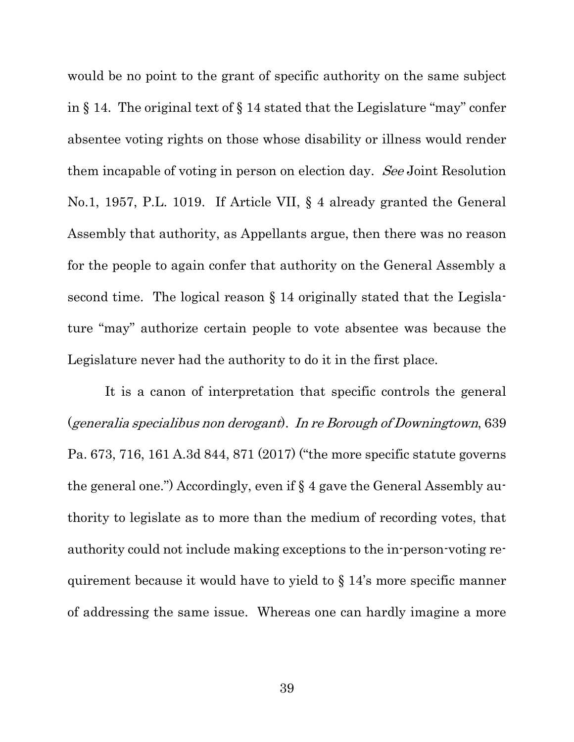would be no point to the grant of specific authority on the same subject in § 14. The original text of § 14 stated that the Legislature "may" confer absentee voting rights on those whose disability or illness would render them incapable of voting in person on election day. See Joint Resolution No.1, 1957, P.L. 1019. If Article VII, § 4 already granted the General Assembly that authority, as Appellants argue, then there was no reason for the people to again confer that authority on the General Assembly a second time. The logical reason § 14 originally stated that the Legislature "may" authorize certain people to vote absentee was because the Legislature never had the authority to do it in the first place.

It is a canon of interpretation that specific controls the general (generalia specialibus non derogant). In re Borough of Downingtown, 639 Pa. 673, 716, 161 A.3d 844, 871 (2017) ("the more specific statute governs the general one.") Accordingly, even if § 4 gave the General Assembly authority to legislate as to more than the medium of recording votes, that authority could not include making exceptions to the in-person-voting requirement because it would have to yield to § 14's more specific manner of addressing the same issue. Whereas one can hardly imagine a more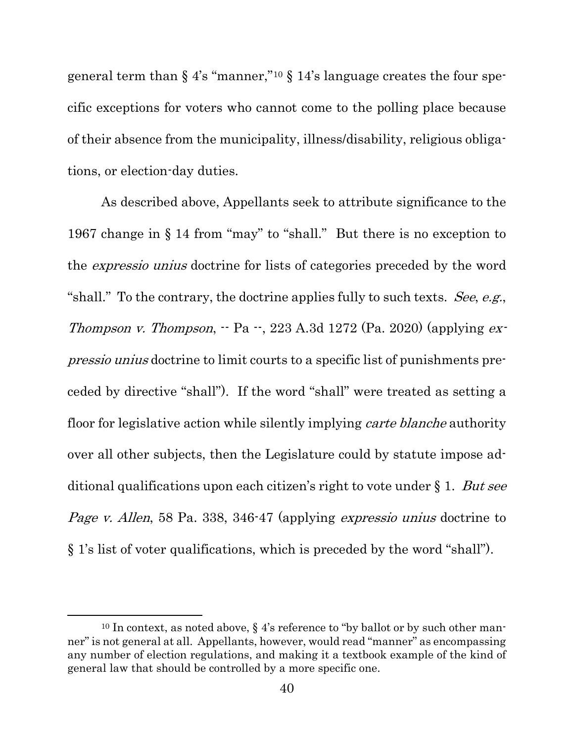general term than  $\S$  4's "manner,"<sup>[10](#page-48-0)</sup>  $\S$  14's language creates the four specific exceptions for voters who cannot come to the polling place because of their absence from the municipality, illness/disability, religious obligations, or election-day duties.

As described above, Appellants seek to attribute significance to the 1967 change in § 14 from "may" to "shall." But there is no exception to the expressio unius doctrine for lists of categories preceded by the word "shall." To the contrary, the doctrine applies fully to such texts. See, e.g., *Thompson v. Thompson*,  $\cdot$  Pa  $\cdot$ , 223 A.3d 1272 (Pa. 2020) (applying *ex*pressio unius doctrine to limit courts to a specific list of punishments preceded by directive "shall"). If the word "shall" were treated as setting a floor for legislative action while silently implying carte blanche authority over all other subjects, then the Legislature could by statute impose additional qualifications upon each citizen's right to vote under  $\S 1$ . But see Page v. Allen, 58 Pa. 338, 346-47 (applying expressio unius doctrine to § 1's list of voter qualifications, which is preceded by the word "shall").

<span id="page-48-0"></span><sup>&</sup>lt;sup>10</sup> In context, as noted above, § 4's reference to "by ballot or by such other manner" is not general at all. Appellants, however, would read "manner" as encompassing any number of election regulations, and making it a textbook example of the kind of general law that should be controlled by a more specific one.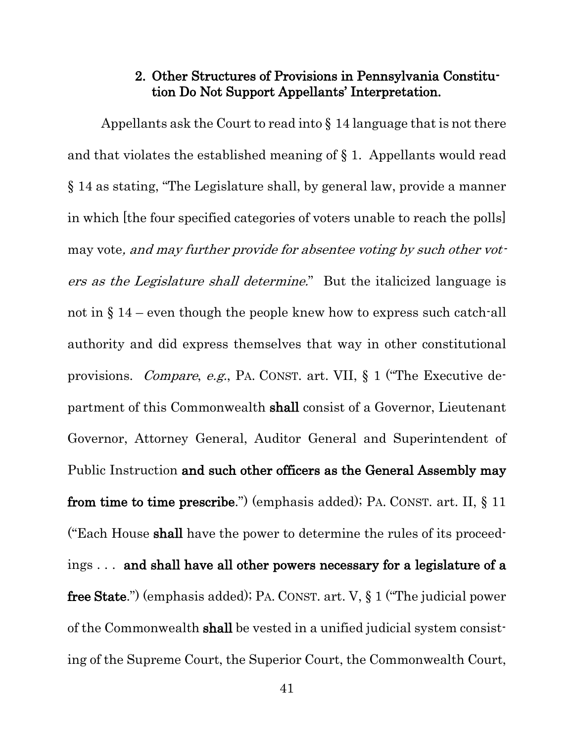#### 2. Other Structures of Provisions in Pennsylvania Constitution Do Not Support Appellants' Interpretation.

<span id="page-49-0"></span>Appellants ask the Court to read into § 14 language that is not there and that violates the established meaning of § 1. Appellants would read § 14 as stating, "The Legislature shall, by general law, provide a manner in which [the four specified categories of voters unable to reach the polls] may vote, and may further provide for absentee voting by such other voters as the Legislature shall determine." But the italicized language is not in § 14 – even though the people knew how to express such catch-all authority and did express themselves that way in other constitutional provisions. Compare, e.g., PA. CONST. art. VII, § 1 ("The Executive department of this Commonwealth shall consist of a Governor, Lieutenant Governor, Attorney General, Auditor General and Superintendent of Public Instruction and such other officers as the General Assembly may from time to time prescribe.") (emphasis added); PA. CONST. art. II, § 11 ("Each House shall have the power to determine the rules of its proceedings . . . and shall have all other powers necessary for a legislature of a free State.") (emphasis added); PA. CONST. art. V, § 1 ("The judicial power of the Commonwealth shall be vested in a unified judicial system consisting of the Supreme Court, the Superior Court, the Commonwealth Court,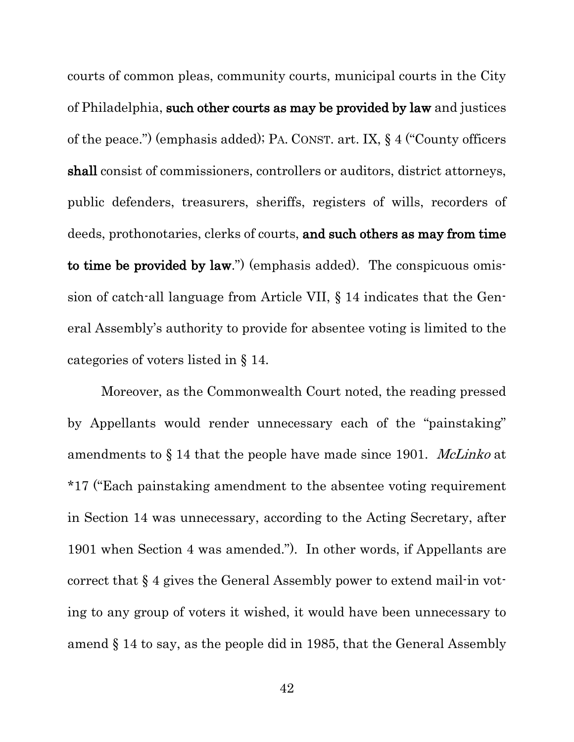courts of common pleas, community courts, municipal courts in the City of Philadelphia, such other courts as may be provided by law and justices of the peace.") (emphasis added); PA. CONST. art. IX, § 4 ("County officers shall consist of commissioners, controllers or auditors, district attorneys, public defenders, treasurers, sheriffs, registers of wills, recorders of deeds, prothonotaries, clerks of courts, and such others as may from time to time be provided by law.") (emphasis added). The conspicuous omission of catch-all language from Article VII, § 14 indicates that the General Assembly's authority to provide for absentee voting is limited to the categories of voters listed in § 14.

Moreover, as the Commonwealth Court noted, the reading pressed by Appellants would render unnecessary each of the "painstaking" amendments to  $\S 14$  that the people have made since 1901. *McLinko* at \*17 ("Each painstaking amendment to the absentee voting requirement in Section 14 was unnecessary, according to the Acting Secretary, after 1901 when Section 4 was amended."). In other words, if Appellants are correct that § 4 gives the General Assembly power to extend mail-in voting to any group of voters it wished, it would have been unnecessary to amend § 14 to say, as the people did in 1985, that the General Assembly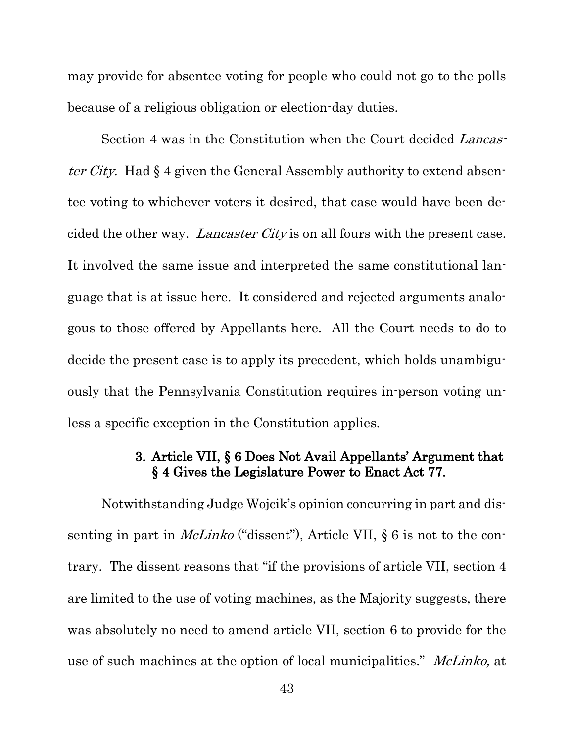may provide for absentee voting for people who could not go to the polls because of a religious obligation or election-day duties.

Section 4 was in the Constitution when the Court decided Lancaster City. Had § 4 given the General Assembly authority to extend absentee voting to whichever voters it desired, that case would have been decided the other way. Lancaster City is on all fours with the present case. It involved the same issue and interpreted the same constitutional language that is at issue here. It considered and rejected arguments analogous to those offered by Appellants here. All the Court needs to do to decide the present case is to apply its precedent, which holds unambiguously that the Pennsylvania Constitution requires in-person voting unless a specific exception in the Constitution applies.

### 3. Article VII, § 6 Does Not Avail Appellants' Argument that § 4 Gives the Legislature Power to Enact Act 77.

<span id="page-51-0"></span>Notwithstanding Judge Wojcik's opinion concurring in part and dissenting in part in *McLinko* ("dissent"), Article VII,  $\S 6$  is not to the contrary. The dissent reasons that "if the provisions of article VII, section 4 are limited to the use of voting machines, as the Majority suggests, there was absolutely no need to amend article VII, section 6 to provide for the use of such machines at the option of local municipalities." McLinko, at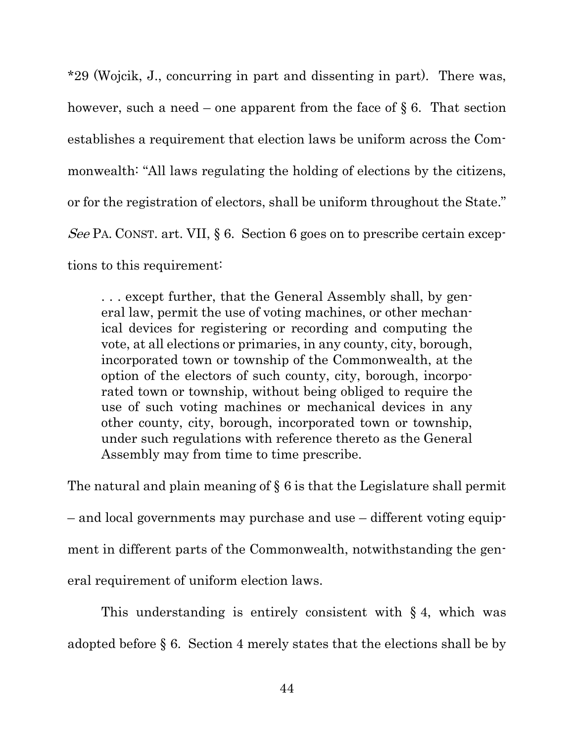\*29 (Wojcik, J., concurring in part and dissenting in part). There was, however, such a need – one apparent from the face of  $\S 6$ . That section establishes a requirement that election laws be uniform across the Commonwealth: "All laws regulating the holding of elections by the citizens, or for the registration of electors, shall be uniform throughout the State." See PA. CONST. art. VII, § 6. Section 6 goes on to prescribe certain exceptions to this requirement:

. . . except further, that the General Assembly shall, by general law, permit the use of voting machines, or other mechanical devices for registering or recording and computing the vote, at all elections or primaries, in any county, city, borough, incorporated town or township of the Commonwealth, at the option of the electors of such county, city, borough, incorporated town or township, without being obliged to require the use of such voting machines or mechanical devices in any other county, city, borough, incorporated town or township, under such regulations with reference thereto as the General Assembly may from time to time prescribe.

The natural and plain meaning of § 6 is that the Legislature shall permit – and local governments may purchase and use – different voting equipment in different parts of the Commonwealth, notwithstanding the general requirement of uniform election laws.

This understanding is entirely consistent with  $\S 4$ , which was adopted before § 6. Section 4 merely states that the elections shall be by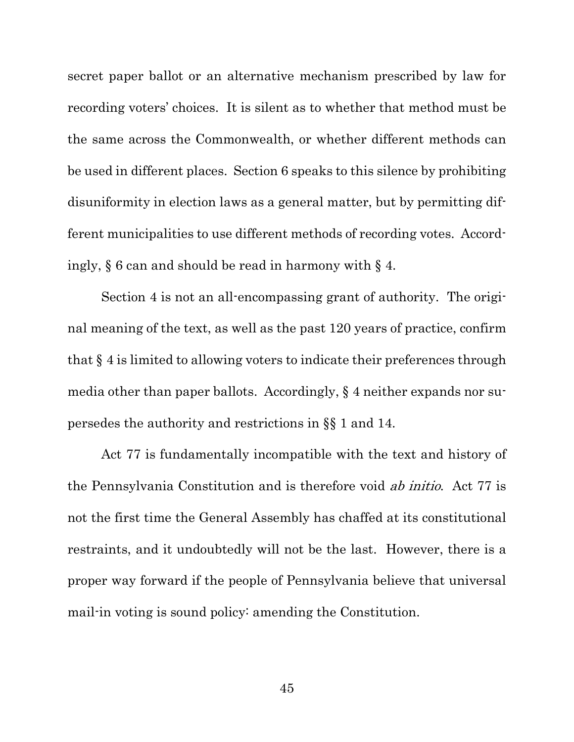secret paper ballot or an alternative mechanism prescribed by law for recording voters' choices. It is silent as to whether that method must be the same across the Commonwealth, or whether different methods can be used in different places. Section 6 speaks to this silence by prohibiting disuniformity in election laws as a general matter, but by permitting different municipalities to use different methods of recording votes. Accordingly, § 6 can and should be read in harmony with § 4.

Section 4 is not an all-encompassing grant of authority. The original meaning of the text, as well as the past 120 years of practice, confirm that § 4 is limited to allowing voters to indicate their preferences through media other than paper ballots. Accordingly, § 4 neither expands nor supersedes the authority and restrictions in §§ 1 and 14.

Act 77 is fundamentally incompatible with the text and history of the Pennsylvania Constitution and is therefore void ab initio. Act 77 is not the first time the General Assembly has chaffed at its constitutional restraints, and it undoubtedly will not be the last. However, there is a proper way forward if the people of Pennsylvania believe that universal mail-in voting is sound policy: amending the Constitution.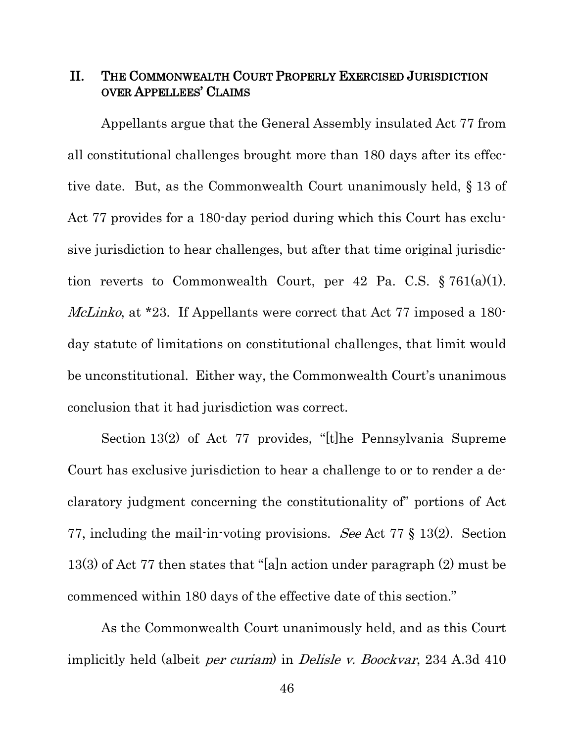#### <span id="page-54-0"></span>II. THE COMMONWEALTH COURT PROPERLY EXERCISED JURISDICTION OVER APPELLEES' CLAIMS

Appellants argue that the General Assembly insulated Act 77 from all constitutional challenges brought more than 180 days after its effective date. But, as the Commonwealth Court unanimously held, § 13 of Act 77 provides for a 180-day period during which this Court has exclusive jurisdiction to hear challenges, but after that time original jurisdiction reverts to Commonwealth Court, per 42 Pa. C.S.  $\S 761(a)(1)$ . McLinko, at \*23. If Appellants were correct that Act 77 imposed a 180day statute of limitations on constitutional challenges, that limit would be unconstitutional. Either way, the Commonwealth Court's unanimous conclusion that it had jurisdiction was correct.

Section 13(2) of Act 77 provides, "[t]he Pennsylvania Supreme Court has exclusive jurisdiction to hear a challenge to or to render a declaratory judgment concerning the constitutionality of" portions of Act 77, including the mail-in-voting provisions. See Act 77 § 13(2). Section 13(3) of Act 77 then states that "[a]n action under paragraph (2) must be commenced within 180 days of the effective date of this section."

As the Commonwealth Court unanimously held, and as this Court implicitly held (albeit *per curiam*) in *Delisle v. Boockvar*, 234 A.3d 410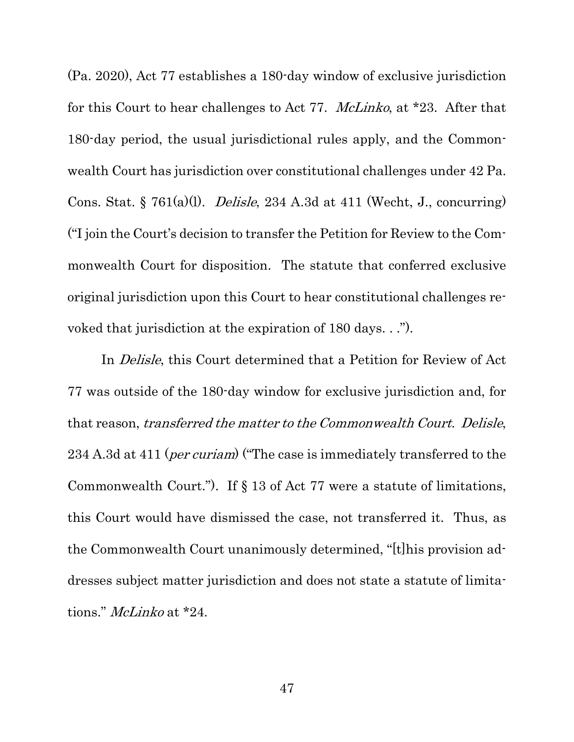(Pa. 2020), Act 77 establishes a 180-day window of exclusive jurisdiction for this Court to hear challenges to Act 77. McLinko, at \*23. After that 180-day period, the usual jurisdictional rules apply, and the Commonwealth Court has jurisdiction over constitutional challenges under 42 Pa. Cons. Stat. § 761(a)(1). *Delisle*, 234 A.3d at 411 (Wecht, J., concurring) ("I join the Court's decision to transfer the Petition for Review to the Commonwealth Court for disposition. The statute that conferred exclusive original jurisdiction upon this Court to hear constitutional challenges revoked that jurisdiction at the expiration of 180 days. . .").

In *Delisle*, this Court determined that a Petition for Review of Act 77 was outside of the 180-day window for exclusive jurisdiction and, for that reason, transferred the matter to the Commonwealth Court. Delisle, 234 A.3d at 411 (*per curiam*) ("The case is immediately transferred to the Commonwealth Court."). If § 13 of Act 77 were a statute of limitations, this Court would have dismissed the case, not transferred it. Thus, as the Commonwealth Court unanimously determined, "[t]his provision addresses subject matter jurisdiction and does not state a statute of limitations." *McLinko* at \*24.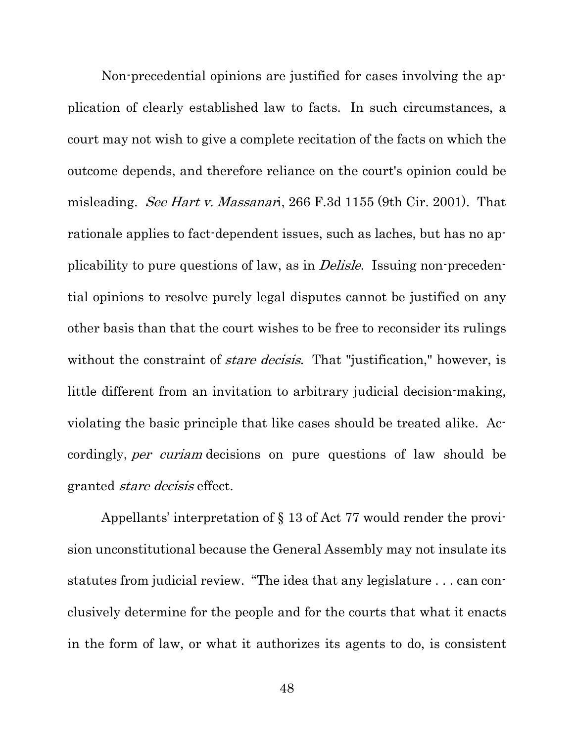Non-precedential opinions are justified for cases involving the application of clearly established law to facts. In such circumstances, a court may not wish to give a complete recitation of the facts on which the outcome depends, and therefore reliance on the court's opinion could be misleading. See Hart v. Massanari, 266 F.3d 1155 (9th Cir. 2001). That rationale applies to fact-dependent issues, such as laches, but has no applicability to pure questions of law, as in *Delisle*. Issuing non-precedential opinions to resolve purely legal disputes cannot be justified on any other basis than that the court wishes to be free to reconsider its rulings without the constraint of *stare decisis*. That "justification," however, is little different from an invitation to arbitrary judicial decision-making, violating the basic principle that like cases should be treated alike. Accordingly, per curiam decisions on pure questions of law should be granted stare decisis effect.

Appellants' interpretation of § 13 of Act 77 would render the provision unconstitutional because the General Assembly may not insulate its statutes from judicial review. "The idea that any legislature . . . can conclusively determine for the people and for the courts that what it enacts in the form of law, or what it authorizes its agents to do, is consistent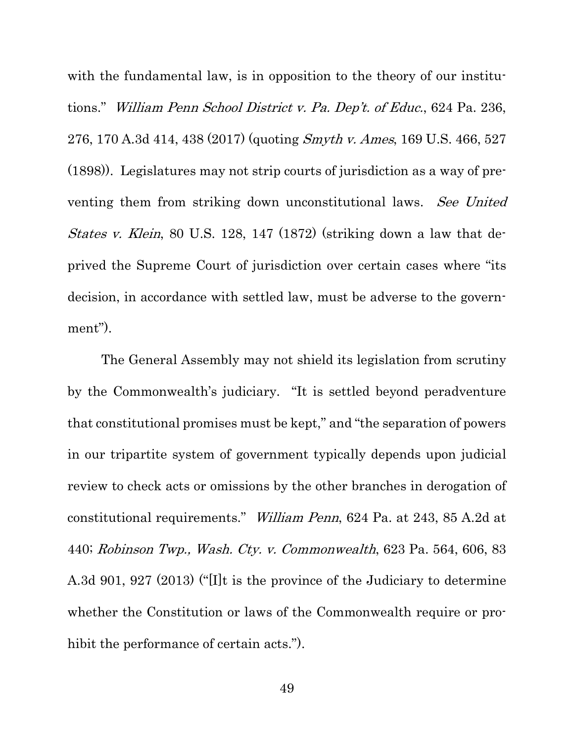with the fundamental law, is in opposition to the theory of our institutions." William Penn School District v. Pa. Dep't. of Educ., 624 Pa. 236, 276, 170 A.3d 414, 438 (2017) (quoting Smyth v. Ames, 169 U.S. 466, 527 (1898)). Legislatures may not strip courts of jurisdiction as a way of preventing them from striking down unconstitutional laws. See United States v. Klein, 80 U.S. 128, 147 (1872) (striking down a law that deprived the Supreme Court of jurisdiction over certain cases where "its decision, in accordance with settled law, must be adverse to the government").

The General Assembly may not shield its legislation from scrutiny by the Commonwealth's judiciary. "It is settled beyond peradventure that constitutional promises must be kept," and "the separation of powers in our tripartite system of government typically depends upon judicial review to check acts or omissions by the other branches in derogation of constitutional requirements." William Penn, 624 Pa. at 243, 85 A.2d at 440; Robinson Twp., Wash. Cty. v. Commonwealth, 623 Pa. 564, 606, 83 A.3d 901, 927 (2013) ("[I]t is the province of the Judiciary to determine whether the Constitution or laws of the Commonwealth require or prohibit the performance of certain acts.").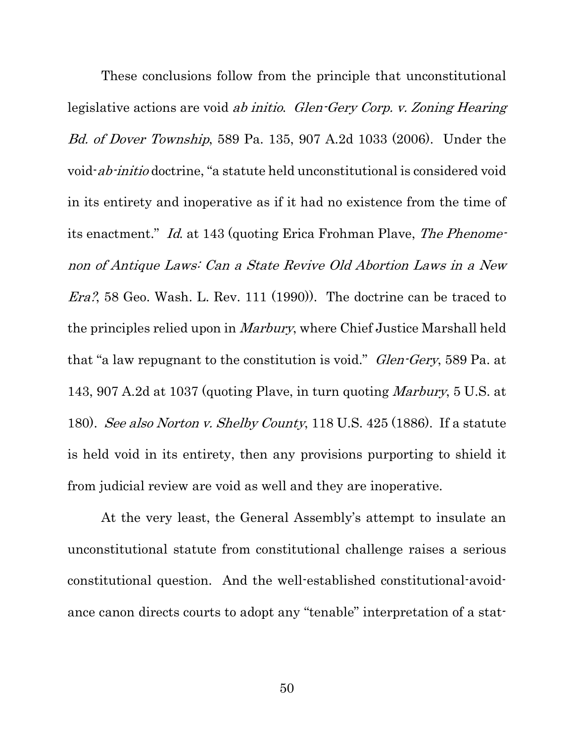These conclusions follow from the principle that unconstitutional legislative actions are void ab initio. Glen-Gery Corp. v. Zoning Hearing Bd. of Dover Township, 589 Pa. 135, 907 A.2d 1033 (2006). Under the void-ab-initio doctrine, "a statute held unconstitutional is considered void in its entirety and inoperative as if it had no existence from the time of its enactment." Id. at 143 (quoting Erica Frohman Plave, The Phenomenon of Antique Laws: Can a State Revive Old Abortion Laws in a New Era?, 58 Geo. Wash. L. Rev. 111 (1990)). The doctrine can be traced to the principles relied upon in *Marbury*, where Chief Justice Marshall held that "a law repugnant to the constitution is void." *Glen-Gery*, 589 Pa. at 143, 907 A.2d at 1037 (quoting Plave, in turn quoting Marbury, 5 U.S. at 180). See also Norton v. Shelby County, 118 U.S. 425 (1886). If a statute is held void in its entirety, then any provisions purporting to shield it from judicial review are void as well and they are inoperative.

At the very least, the General Assembly's attempt to insulate an unconstitutional statute from constitutional challenge raises a serious constitutional question. And the well-established constitutional-avoidance canon directs courts to adopt any "tenable" interpretation of a stat-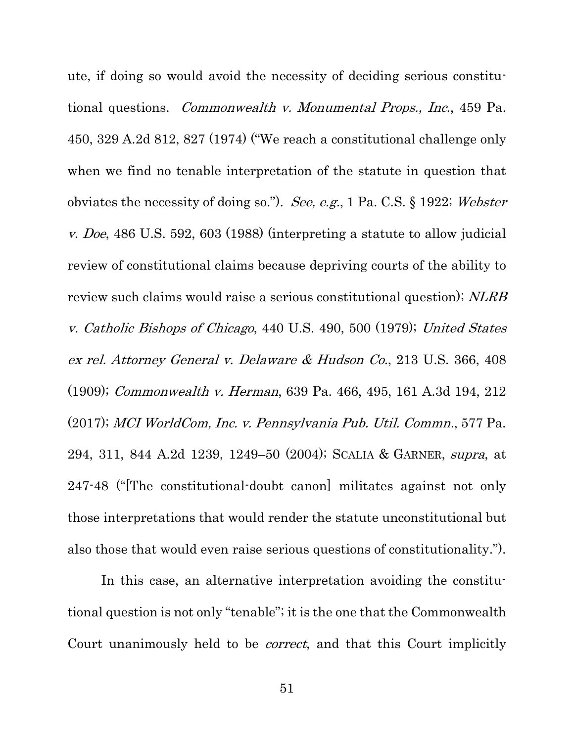ute, if doing so would avoid the necessity of deciding serious constitutional questions. Commonwealth v. Monumental Props., Inc., 459 Pa. 450, 329 A.2d 812, 827 (1974) ("We reach a constitutional challenge only when we find no tenable interpretation of the statute in question that obviates the necessity of doing so."). See, e.g., 1 Pa. C.S. § 1922; Webster v. Doe, 486 U.S. 592, 603 (1988) (interpreting a statute to allow judicial review of constitutional claims because depriving courts of the ability to review such claims would raise a serious constitutional question); NLRB v. Catholic Bishops of Chicago, 440 U.S. 490, 500 (1979); United States ex rel. Attorney General v. Delaware & Hudson Co., 213 U.S. 366, 408 (1909); Commonwealth v. Herman, 639 Pa. 466, 495, 161 A.3d 194, 212 (2017); MCI WorldCom, Inc. v. Pennsylvania Pub. Util. Commn., 577 Pa. 294, 311, 844 A.2d 1239, 1249–50 (2004); SCALIA & GARNER, supra, at 247-48 ("[The constitutional-doubt canon] militates against not only those interpretations that would render the statute unconstitutional but also those that would even raise serious questions of constitutionality.").

In this case, an alternative interpretation avoiding the constitutional question is not only "tenable"; it is the one that the Commonwealth Court unanimously held to be *correct*, and that this Court implicitly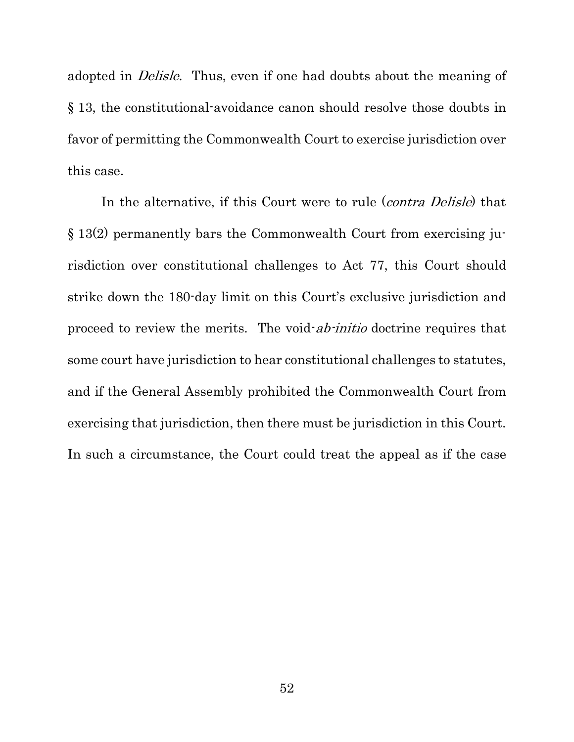adopted in *Delisle*. Thus, even if one had doubts about the meaning of § 13, the constitutional-avoidance canon should resolve those doubts in favor of permitting the Commonwealth Court to exercise jurisdiction over this case.

In the alternative, if this Court were to rule (*contra Delisle*) that § 13(2) permanently bars the Commonwealth Court from exercising jurisdiction over constitutional challenges to Act 77, this Court should strike down the 180-day limit on this Court's exclusive jurisdiction and proceed to review the merits. The void-ab-initio doctrine requires that some court have jurisdiction to hear constitutional challenges to statutes, and if the General Assembly prohibited the Commonwealth Court from exercising that jurisdiction, then there must be jurisdiction in this Court. In such a circumstance, the Court could treat the appeal as if the case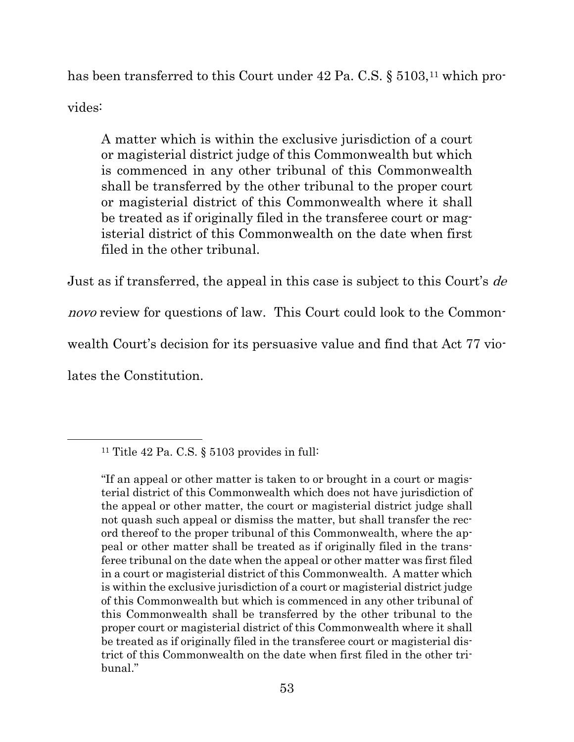has been transferred to this Court under 42 Pa. C.S. § 5103,<sup>[11](#page-61-0)</sup> which provides:

A matter which is within the exclusive jurisdiction of a court or magisterial district judge of this Commonwealth but which is commenced in any other tribunal of this Commonwealth shall be transferred by the other tribunal to the proper court or magisterial district of this Commonwealth where it shall be treated as if originally filed in the transferee court or magisterial district of this Commonwealth on the date when first filed in the other tribunal.

Just as if transferred, the appeal in this case is subject to this Court's de novo review for questions of law. This Court could look to the Commonwealth Court's decision for its persuasive value and find that Act 77 violates the Constitution.

<span id="page-61-0"></span><sup>11</sup> Title 42 Pa. C.S. § 5103 provides in full:

<sup>&</sup>quot;If an appeal or other matter is taken to or brought in a court or magisterial district of this Commonwealth which does not have jurisdiction of the appeal or other matter, the court or magisterial district judge shall not quash such appeal or dismiss the matter, but shall transfer the record thereof to the proper tribunal of this Commonwealth, where the appeal or other matter shall be treated as if originally filed in the transferee tribunal on the date when the appeal or other matter was first filed in a court or magisterial district of this Commonwealth. A matter which is within the exclusive jurisdiction of a court or magisterial district judge of this Commonwealth but which is commenced in any other tribunal of this Commonwealth shall be transferred by the other tribunal to the proper court or magisterial district of this Commonwealth where it shall be treated as if originally filed in the transferee court or magisterial district of this Commonwealth on the date when first filed in the other tribunal."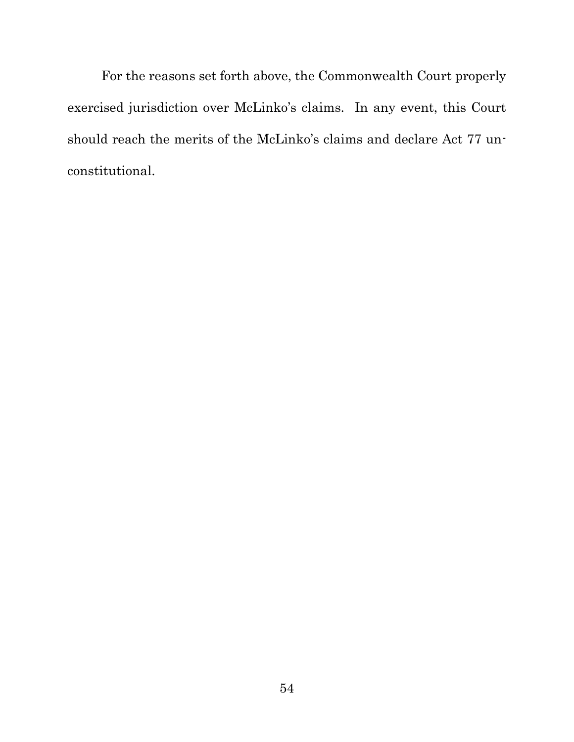For the reasons set forth above, the Commonwealth Court properly exercised jurisdiction over McLinko's claims. In any event, this Court should reach the merits of the McLinko's claims and declare Act 77 unconstitutional.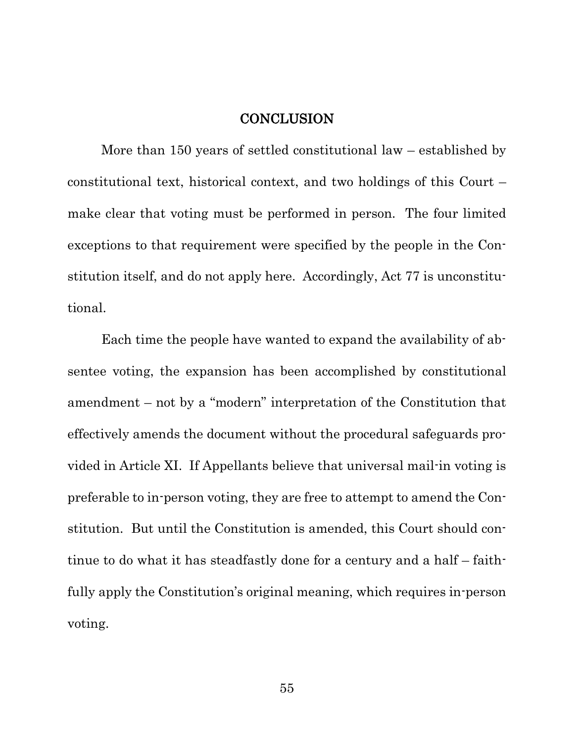#### **CONCLUSION**

<span id="page-63-0"></span>More than 150 years of settled constitutional law – established by constitutional text, historical context, and two holdings of this Court – make clear that voting must be performed in person. The four limited exceptions to that requirement were specified by the people in the Constitution itself, and do not apply here. Accordingly, Act 77 is unconstitutional.

Each time the people have wanted to expand the availability of absentee voting, the expansion has been accomplished by constitutional amendment – not by a "modern" interpretation of the Constitution that effectively amends the document without the procedural safeguards provided in Article XI. If Appellants believe that universal mail-in voting is preferable to in-person voting, they are free to attempt to amend the Constitution. But until the Constitution is amended, this Court should continue to do what it has steadfastly done for a century and a half – faithfully apply the Constitution's original meaning, which requires in-person voting.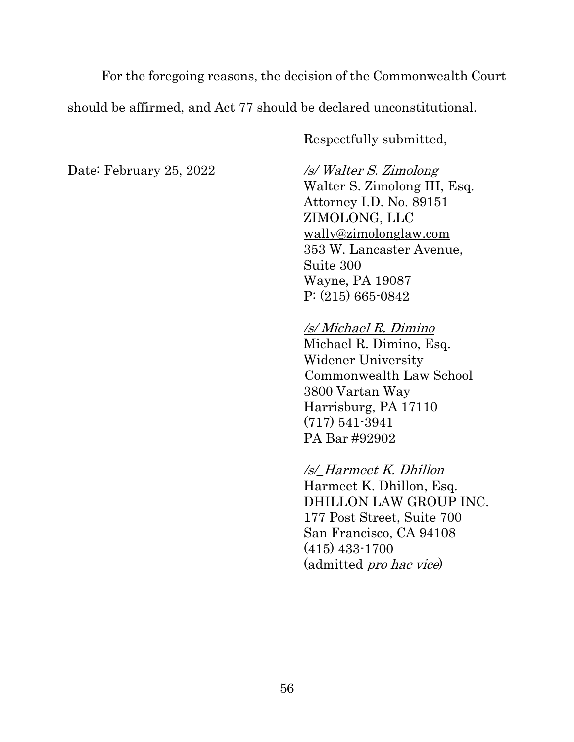For the foregoing reasons, the decision of the Commonwealth Court should be affirmed, and Act 77 should be declared unconstitutional.

Respectfully submitted,

Date: February 25, 2022 /s/ Walter S. Zimolong

Walter S. Zimolong III, Esq. Attorney I.D. No. 89151 ZIMOLONG, LLC [wally@zimolonglaw.com](mailto:wally@zimolonglaw.com) 353 W. Lancaster Avenue, Suite 300 Wayne, PA 19087 P: (215) 665-0842

## /s/ Michael R. Dimino

Michael R. Dimino, Esq. Widener University Commonwealth Law School 3800 Vartan Way Harrisburg, PA 17110 (717) 541-3941 PA Bar #92902

## /s/\_Harmeet K. Dhillon

Harmeet K. Dhillon, Esq. DHILLON LAW GROUP INC. 177 Post Street, Suite 700 San Francisco, CA 94108 (415) 433-1700 (admitted pro hac vice)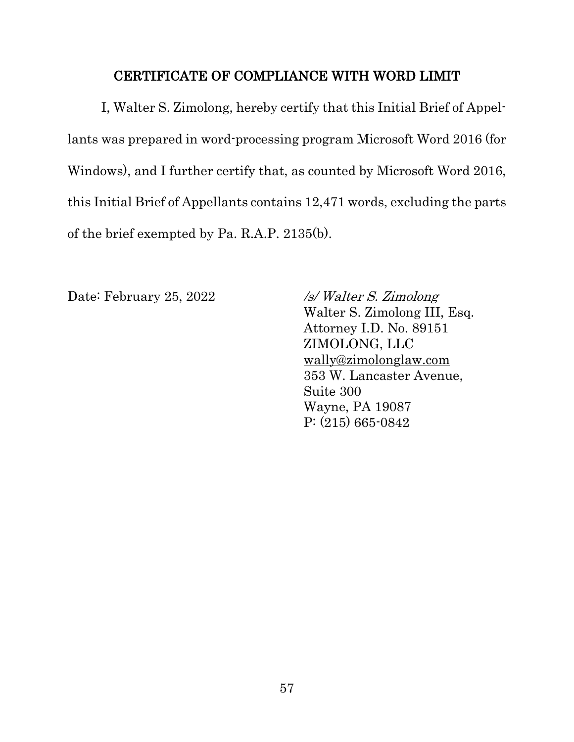#### CERTIFICATE OF COMPLIANCE WITH WORD LIMIT

<span id="page-65-0"></span>I, Walter S. Zimolong, hereby certify that this Initial Brief of Appellants was prepared in word-processing program Microsoft Word 2016 (for Windows), and I further certify that, as counted by Microsoft Word 2016, this Initial Brief of Appellants contains 12,471 words, excluding the parts of the brief exempted by Pa. R.A.P. 2135(b).

Date: February 25, 2022 /s/ Walter S. Zimolong

Walter S. Zimolong III, Esq. Attorney I.D. No. 89151 ZIMOLONG, LLC [wally@zimolonglaw.com](mailto:wally@zimolonglaw.com) 353 W. Lancaster Avenue, Suite 300 Wayne, PA 19087 P: (215) 665-0842